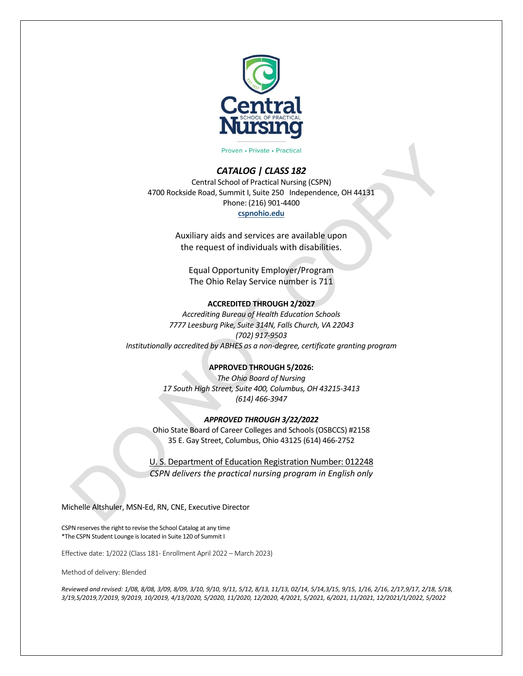

Proven • Private • Practical

#### *CATALOG | CLASS 182*

Central School of Practical Nursing (CSPN) 4700 Rockside Road, Summit I, Suite 250 Independence, OH 44131 Phone: (216) 901-4400 **cspnohio.edu**

> Auxiliary aids and services are available upon the request of individuals with disabilities.

Equal Opportunity Employer/Program The Ohio Relay Service number is 711

#### **ACCREDITED THROUGH 2/2027**

*Accrediting Bureau of Health Education Schools 7777 Leesburg Pike, Suite 314N, Falls Church, VA 22043 (702) 917-9503 Institutionally accredited by ABHES as a non-degree, certificate granting program*

#### **APPROVED THROUGH 5/2026:**

*The Ohio Board of Nursing 17 South High Street, Suite 400, Columbus, OH 43215-3413 (614) 466-3947*

#### *APPROVED THROUGH 3/22/2022*

Ohio State Board of Career Colleges and Schools(OSBCCS) #2158 35 E. Gay Street, Columbus, Ohio 43125 (614) 466-2752

U. S. Department of Education Registration Number: 012248 *CSPN delivers the practical nursing program in English only* 

Michelle Altshuler, MSN-Ed, RN, CNE, Executive Director

CSPN reserves the right to revise the School Catalog at any time \*The CSPN Student Lounge is located in Suite 120 of Summit I

Effective date: 1/2022 (Class 181- Enrollment April 2022 – March 2023)

Method of delivery: Blended

*Reviewed and revised: 1/08, 8/08, 3/09, 8/09, 3/10, 9/10, 9/11, 5/12, 8/13, 11/13, 02/14, 5/14,3/15, 9/15, 1/16, 2/16, 2/17,9/17, 2/18, 5/18, 3/19,5/2019,7/2019, 9/2019, 10/2019, 4/13/2020, 5/2020, 11/2020, 12/2020, 4/2021, 5/2021, 6/2021, 11/2021, 12/2021/1/2022, 5/2022*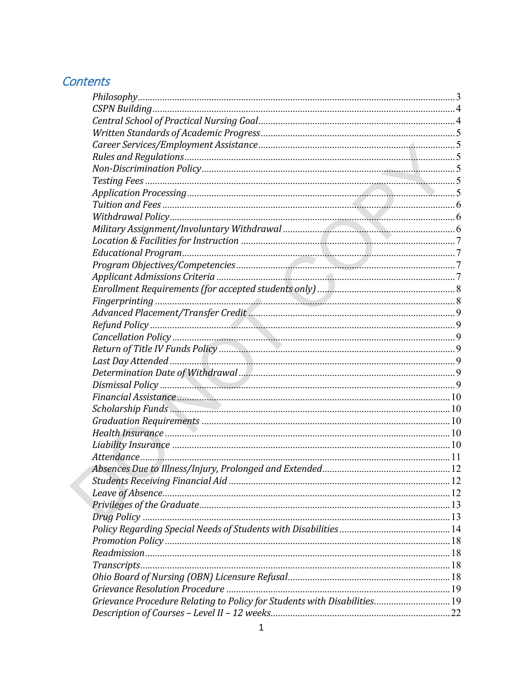## Contents

| Grievance Procedure Relating to Policy for Students with Disabilities 19 |  |
|--------------------------------------------------------------------------|--|
|                                                                          |  |
|                                                                          |  |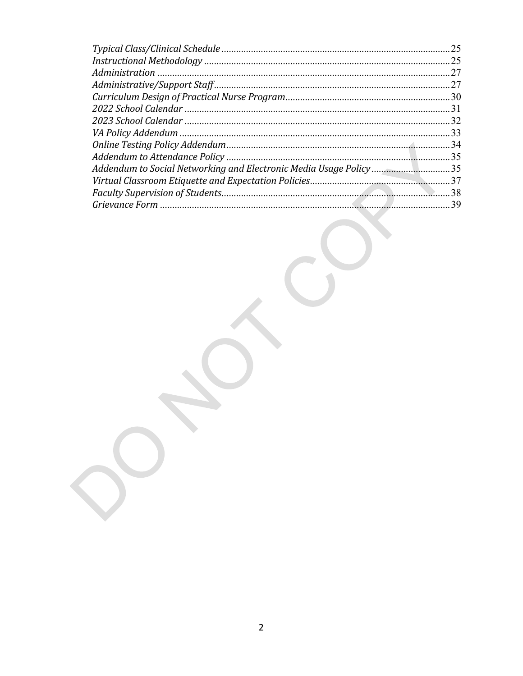|                                                                   | 25   |
|-------------------------------------------------------------------|------|
|                                                                   | 25   |
|                                                                   |      |
|                                                                   | 27   |
|                                                                   |      |
|                                                                   |      |
|                                                                   |      |
|                                                                   |      |
|                                                                   | . 34 |
|                                                                   |      |
| Addendum to Social Networking and Electronic Media Usage Policy35 |      |
|                                                                   | 37   |
|                                                                   | .38  |
|                                                                   |      |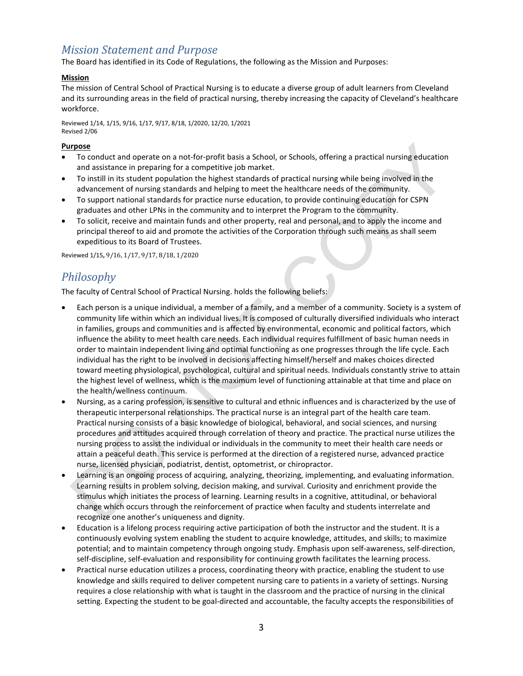## *Mission Statement and Purpose*

The Board has identified in its Code of Regulations, the following as the Mission and Purposes:

#### **Mission**

The mission of Central School of Practical Nursing is to educate a diverse group of adult learners from Cleveland and its surrounding areas in the field of practical nursing, thereby increasing the capacity of Cleveland's healthcare workforce.

Reviewed 1/14, 1/15, 9/16, 1/17, 9/17, 8/18, 1/2020, 12/20, 1/2021 Revised 2/06

#### **Purpose**

- To conduct and operate on a not-for-profit basis a School, or Schools, offering a practical nursing education and assistance in preparing for a competitive job market.
- To instill in its student population the highest standards of practical nursing while being involved in the advancement of nursing standards and helping to meet the healthcare needs of the community.
- To support national standards for practice nurse education, to provide continuing education for CSPN graduates and other LPNs in the community and to interpret the Program to the community.
- To solicit, receive and maintain funds and other property, real and personal, and to apply the income and principal thereof to aid and promote the activities of the Corporation through such means as shall seem expeditious to its Board of Trustees.

<span id="page-3-0"></span>Reviewed 1/15**,** 9/16, 1/17, 9/17, 8/18, 1/2020

## *Philosophy*

The faculty of Central School of Practical Nursing. holds the following beliefs:

- Each person is a unique individual, a member of a family, and a member of a community. Society is a system of community life within which an individual lives. It is composed of culturally diversified individuals who interact in families, groups and communities and is affected by environmental, economic and political factors, which influence the ability to meet health care needs. Each individual requires fulfillment of basic human needs in order to maintain independent living and optimal functioning as one progresses through the life cycle. Each individual has the right to be involved in decisions affecting himself/herself and makes choices directed toward meeting physiological, psychological, cultural and spiritual needs. Individuals constantly strive to attain the highest level of wellness, which is the maximum level of functioning attainable at that time and place on the health/wellness continuum.
- Nursing, as a caring profession, is sensitive to cultural and ethnic influences and is characterized by the use of therapeutic interpersonal relationships. The practical nurse is an integral part of the health care team. Practical nursing consists of a basic knowledge of biological, behavioral, and social sciences, and nursing procedures and attitudes acquired through correlation of theory and practice. The practical nurse utilizes the nursing process to assist the individual or individuals in the community to meet their health care needs or attain a peaceful death. This service is performed at the direction of a registered nurse, advanced practice nurse, licensed physician, podiatrist, dentist, optometrist, or chiropractor.
- Learning is an ongoing process of acquiring, analyzing, theorizing, implementing, and evaluating information. Learning results in problem solving, decision making, and survival. Curiosity and enrichment provide the stimulus which initiates the process of learning. Learning results in a cognitive, attitudinal, or behavioral change which occurs through the reinforcement of practice when faculty and students interrelate and recognize one another's uniqueness and dignity.
- Education is a lifelong process requiring active participation of both the instructor and the student. It is a continuously evolving system enabling the student to acquire knowledge, attitudes, and skills; to maximize potential; and to maintain competency through ongoing study. Emphasis upon self-awareness, self-direction, self-discipline, self-evaluation and responsibility for continuing growth facilitates the learning process.
- Practical nurse education utilizes a process, coordinating theory with practice, enabling the student to use knowledge and skills required to deliver competent nursing care to patients in a variety of settings. Nursing requires a close relationship with what is taught in the classroom and the practice of nursing in the clinical setting. Expecting the student to be goal-directed and accountable, the faculty accepts the responsibilities of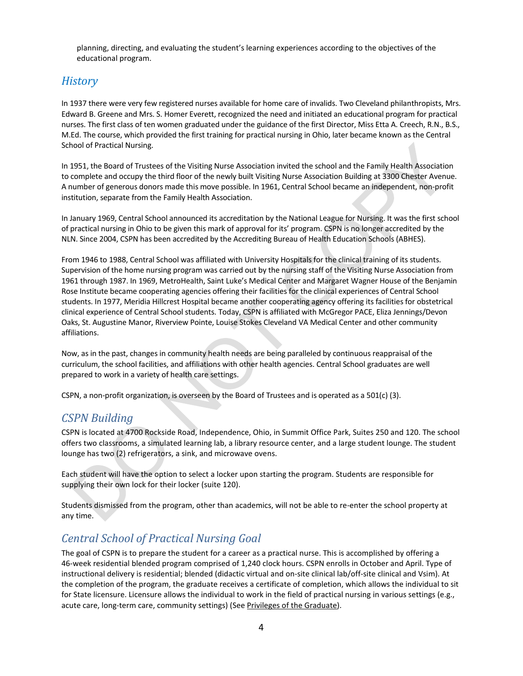planning, directing, and evaluating the student's learning experiences according to the objectives of the educational program.

## *History*

In 1937 there were very few registered nurses available for home care of invalids. Two Cleveland philanthropists, Mrs. Edward B. Greene and Mrs. S. Homer Everett, recognized the need and initiated an educational program for practical nurses. The first class of ten women graduated under the guidance of the first Director, Miss Etta A. Creech, R.N., B.S., M.Ed. The course, which provided the first training for practical nursing in Ohio, later became known as the Central School of Practical Nursing.

In 1951, the Board of Trustees of the Visiting Nurse Association invited the school and the Family Health Association to complete and occupy the third floor of the newly built Visiting Nurse Association Building at 3300 Chester Avenue. A number of generous donors made this move possible. In 1961, Central School became an independent, non-profit institution, separate from the Family Health Association.

In January 1969, Central School announced its accreditation by the National League for Nursing. It was the first school of practical nursing in Ohio to be given this mark of approval for its' program. CSPN is no longer accredited by the NLN. Since 2004, CSPN has been accredited by the Accrediting Bureau of Health Education Schools (ABHES).

From 1946 to 1988, Central School was affiliated with University Hospitals for the clinical training of its students. Supervision of the home nursing program was carried out by the nursing staff of the Visiting Nurse Association from 1961 through 1987. In 1969, MetroHealth, Saint Luke's Medical Center and Margaret Wagner House of the Benjamin Rose Institute became cooperating agencies offering their facilities for the clinical experiences of Central School students. In 1977, Meridia Hillcrest Hospital became another cooperating agency offering its facilities for obstetrical clinical experience of Central School students. Today, CSPN is affiliated with McGregor PACE, Eliza Jennings/Devon Oaks, St. Augustine Manor, Riverview Pointe, Louise Stokes Cleveland VA Medical Center and other community affiliations.

Now, as in the past, changes in community health needs are being paralleled by continuous reappraisal of the curriculum, the school facilities, and affiliations with other health agencies. Central School graduates are well prepared to work in a variety of health care settings.

<span id="page-4-0"></span>CSPN, a non-profit organization, is overseen by the Board of Trustees and is operated as a 501(c) (3).

### *CSPN Building*

CSPN is located at 4700 Rockside Road, Independence, Ohio, in Summit Office Park, Suites 250 and 120. The school offers two classrooms, a simulated learning lab, a library resource center, and a large student lounge. The student lounge has two (2) refrigerators, a sink, and microwave ovens.

Each student will have the option to select a locker upon starting the program. Students are responsible for supplying their own lock for their locker (suite 120).

Students dismissed from the program, other than academics, will not be able to re-enter the school property at any time.

## <span id="page-4-1"></span>*Central School of Practical Nursing Goal*

The goal of CSPN is to prepare the student for a career as a practical nurse. This is accomplished by offering a 46-week residential blended program comprised of 1,240 clock hours. CSPN enrolls in October and April. Type of instructional delivery is residential; blended (didactic virtual and on-site clinical lab/off-site clinical and Vsim). At the completion of the program, the graduate receives a certificate of completion, which allows the individual to sit for State licensure. Licensure allows the individual to work in the field of practical nursing in various settings (e.g., acute care, long-term care, community settings) (See Privileges of the Graduate).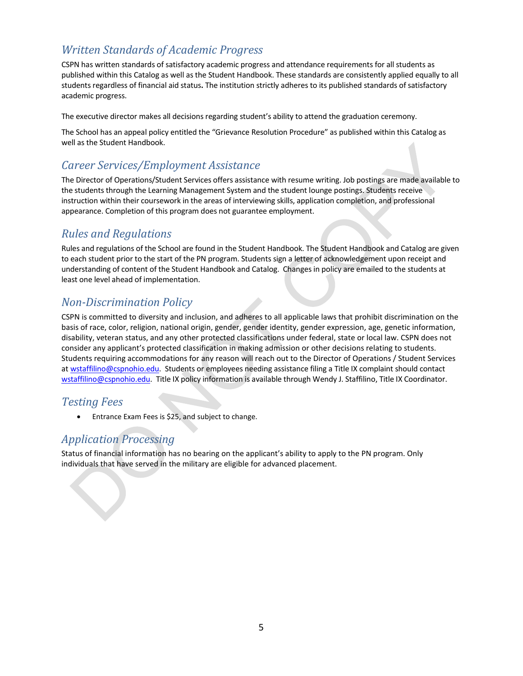## <span id="page-5-0"></span>*Written Standards of Academic Progress*

CSPN has written standards of satisfactory academic progress and attendance requirements for all students as published within this Catalog as well as the Student Handbook. These standards are consistently applied equally to all students regardless of financial aid status**.** The institution strictly adheres to its published standards of satisfactory academic progress.

The executive director makes all decisions regarding student's ability to attend the graduation ceremony.

The School has an appeal policy entitled the "Grievance Resolution Procedure" as published within this Catalog as well as the Student Handbook.

## <span id="page-5-1"></span>*Career Services/Employment Assistance*

The Director of Operations/Student Services offers assistance with resume writing. Job postings are made available to the students through the Learning Management System and the student lounge postings. Students receive instruction within their coursework in the areas of interviewing skills, application completion, and professional appearance. Completion of this program does not guarantee employment.

## <span id="page-5-2"></span>*Rules and Regulations*

Rules and regulations of the School are found in the Student Handbook. The Student Handbook and Catalog are given to each student prior to the start of the PN program. Students sign a letter of acknowledgement upon receipt and understanding of content of the Student Handbook and Catalog. Changes in policy are emailed to the students at least one level ahead of implementation.

## <span id="page-5-3"></span>*Non-Discrimination Policy*

CSPN is committed to diversity and inclusion, and adheres to all applicable laws that prohibit discrimination on the basis of race, color, religion, national origin, gender, gender identity, gender expression, age, genetic information, disability, veteran status, and any other protected classifications under federal, state or local law. CSPN does not consider any applicant's protected classification in making admission or other decisions relating to students. Students requiring accommodations for any reason will reach out to the Director of Operations / Student Services a[t wstaffilino@cspnohio.edu.](mailto:wstaffilino@cspnohio.edu) Students or employees needing assistance filing a Title IX complaint should contact [wstaffilino@cspnohio.edu.](mailto:wstaffilino@cspnohio.edu) Title IX policy information is available through Wendy J. Staffilino, Title IX Coordinator.

### <span id="page-5-4"></span>*Testing Fees*

• Entrance Exam Fees is \$25, and subject to change.

## <span id="page-5-5"></span>*Application Processing*

Status of financial information has no bearing on the applicant's ability to apply to the PN program. Only individuals that have served in the military are eligible for advanced placement.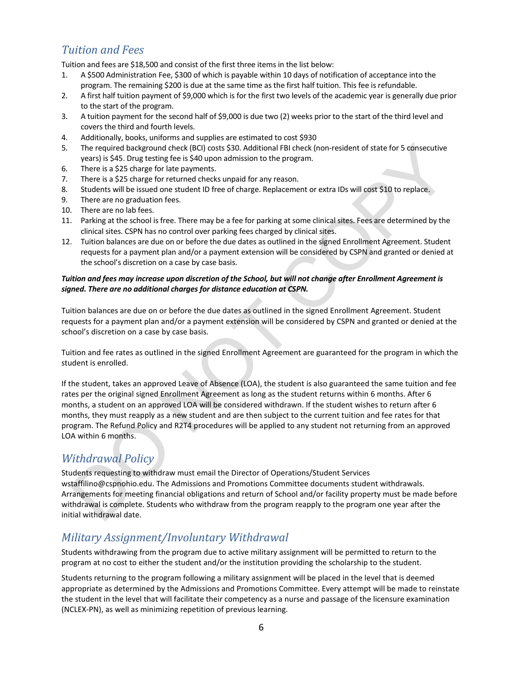## <span id="page-6-0"></span>*Tuition and Fees*

Tuition and fees are \$18,500 and consist of the first three items in the list below:

- 1. A \$500 Administration Fee, \$300 of which is payable within 10 days of notification of acceptance into the program. The remaining \$200 is due at the same time as the first half tuition. This fee is refundable.
- 2. A first half tuition payment of \$9,000 which is for the first two levels of the academic year is generally due prior to the start of the program.
- 3. A tuition payment for the second half of \$9,000 is due two (2) weeks prior to the start of the third level and covers the third and fourth levels.
- 4. Additionally, books, uniforms and supplies are estimated to cost \$930
- 5. The required background check (BCI) costs \$30. Additional FBI check (non-resident of state for 5 consecutive years) is \$45. Drug testing fee is \$40 upon admission to the program.
- 6. There is a \$25 charge for late payments.
- 7. There is a \$25 charge for returned checks unpaid for any reason.
- 8. Students will be issued one student ID free of charge. Replacement or extra IDs will cost \$10 to replace.
- 9. There are no graduation fees.
- 10. There are no lab fees.
- 11. Parking at the school is free. There may be a fee for parking at some clinical sites. Fees are determined by the clinical sites. CSPN has no control over parking fees charged by clinical sites.
- 12. Tuition balances are due on or before the due dates as outlined in the signed Enrollment Agreement. Student requests for a payment plan and/or a payment extension will be considered by CSPN and granted or denied at the school's discretion on a case by case basis.

#### *Tuition and fees may increase upon discretion of the School, but will not change after Enrollment Agreement is signed. There are no additional charges for distance education at CSPN.*

Tuition balances are due on or before the due dates as outlined in the signed Enrollment Agreement. Student requests for a payment plan and/or a payment extension will be considered by CSPN and granted or denied at the school's discretion on a case by case basis.

Tuition and fee rates as outlined in the signed Enrollment Agreement are guaranteed for the program in which the student is enrolled.

If the student, takes an approved Leave of Absence (LOA), the student is also guaranteed the same tuition and fee rates per the original signed Enrollment Agreement as long as the student returns within 6 months. After 6 months, a student on an approved LOA will be considered withdrawn. If the student wishes to return after 6 months, they must reapply as a new student and are then subject to the current tuition and fee rates for that program. The Refund Policy and R2T4 procedures will be applied to any student not returning from an approved LOA within 6 months.

## <span id="page-6-1"></span>*Withdrawal Policy*

Students requesting to withdraw must email the Director of Operations/Student Services wstaffilino@cspnohio.edu. The Admissions and Promotions Committee documents student withdrawals. Arrangements for meeting financial obligations and return of School and/or facility property must be made before withdrawal is complete. Students who withdraw from the program reapply to the program one year after the initial withdrawal date.

## <span id="page-6-2"></span>*Military Assignment/Involuntary Withdrawal*

Students withdrawing from the program due to active military assignment will be permitted to return to the program at no cost to either the student and/or the institution providing the scholarship to the student.

Students returning to the program following a military assignment will be placed in the level that is deemed appropriate as determined by the Admissions and Promotions Committee. Every attempt will be made to reinstate the student in the level that will facilitate their competency as a nurse and passage of the licensure examination (NCLEX-PN), as well as minimizing repetition of previous learning.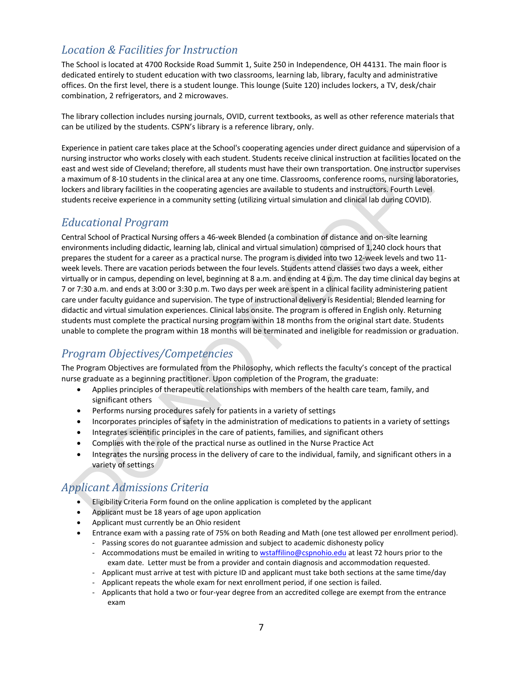## <span id="page-7-0"></span>*Location & Facilities for Instruction*

The School is located at 4700 Rockside Road Summit 1, Suite 250 in Independence, OH 44131. The main floor is dedicated entirely to student education with two classrooms, learning lab, library, faculty and administrative offices. On the first level, there is a student lounge. This lounge (Suite 120) includes lockers, a TV, desk/chair combination, 2 refrigerators, and 2 microwaves.

The library collection includes nursing journals, OVID, current textbooks, as well as other reference materials that can be utilized by the students. CSPN's library is a reference library, only.

Experience in patient care takes place at the School's cooperating agencies under direct guidance and supervision of a nursing instructor who works closely with each student. Students receive clinical instruction at facilities located on the east and west side of Cleveland; therefore, all students must have their own transportation. One instructor supervises a maximum of 8-10 students in the clinical area at any one time. Classrooms, conference rooms, nursing laboratories, lockers and library facilities in the cooperating agencies are available to students and instructors. Fourth Level students receive experience in a community setting (utilizing virtual simulation and clinical lab during COVID).

### <span id="page-7-1"></span>*Educational Program*

Central School of Practical Nursing offers a 46-week Blended (a combination of distance and on-site learning environments including didactic, learning lab, clinical and virtual simulation) comprised of 1,240 clock hours that prepares the student for a career as a practical nurse. The program is divided into two 12-week levels and two 11 week levels. There are vacation periods between the four levels. Students attend classes two days a week, either virtually or in campus, depending on level, beginning at 8 a.m. and ending at 4 p.m. The day time clinical day begins at 7 or 7:30 a.m. and ends at 3:00 or 3:30 p.m. Two days per week are spent in a clinical facility administering patient care under faculty guidance and supervision. The type of instructional delivery is Residential; Blended learning for didactic and virtual simulation experiences. Clinical labs onsite. The program is offered in English only. Returning students must complete the practical nursing program within 18 months from the original start date. Students unable to complete the program within 18 months will be terminated and ineligible for readmission or graduation.

## <span id="page-7-2"></span>*Program Objectives/Competencies*

The Program Objectives are formulated from the Philosophy, which reflects the faculty's concept of the practical nurse graduate as a beginning practitioner. Upon completion of the Program, the graduate:

- Applies principles of therapeutic relationships with members of the health care team, family, and significant others
- Performs nursing procedures safely for patients in a variety of settings
- Incorporates principles of safety in the administration of medications to patients in a variety of settings
- Integrates scientific principles in the care of patients, families, and significant others
- Complies with the role of the practical nurse as outlined in the Nurse Practice Act
- Integrates the nursing process in the delivery of care to the individual, family, and significant others in a variety of settings

## <span id="page-7-3"></span>*Applicant Admissions Criteria*

- Eligibility Criteria Form found on the online application is completed by the applicant
- Applicant must be 18 years of age upon application
- Applicant must currently be an Ohio resident
- Entrance exam with a passing rate of 75% on both Reading and Math (one test allowed per enrollment period).
	- Passing scores do not guarantee admission and subject to academic dishonesty policy - Accommodations must be emailed in writing to **wstaffilino@cspnohio.edu** at least 72 hours prior to the exam date. Letter must be from a provider and contain diagnosis and accommodation requested.
	- Applicant must arrive at test with picture ID and applicant must take both sections at the same time/day
	- Applicant repeats the whole exam for next enrollment period, if one section is failed.
	- Applicants that hold a two or four-year degree from an accredited college are exempt from the entrance exam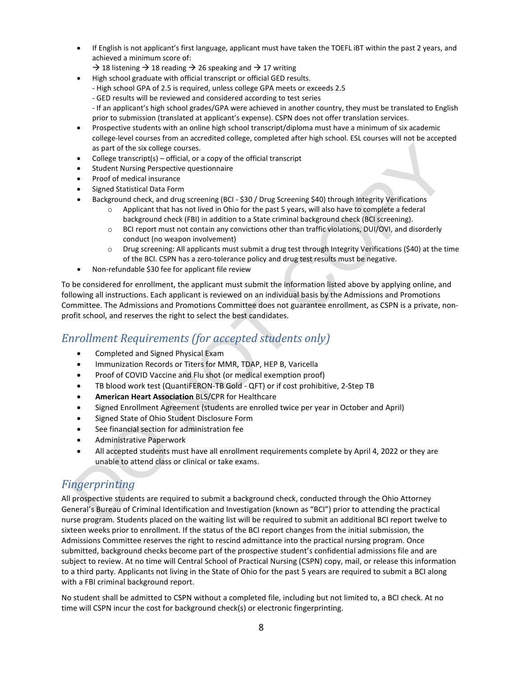- If English is not applicant's first language, applicant must have taken the TOEFL iBT within the past 2 years, and achieved a minimum score of:
	- $\rightarrow$  18 listening  $\rightarrow$  18 reading  $\rightarrow$  26 speaking and  $\rightarrow$  17 writing
- High school graduate with official transcript or official GED results.
	- High school GPA of 2.5 is required, unless college GPA meets or exceeds 2.5
	- GED results will be reviewed and considered according to test series
	- If an applicant's high school grades/GPA were achieved in another country, they must be translated to English prior to submission (translated at applicant's expense). CSPN does not offer translation services.
- Prospective students with an online high school transcript/diploma must have a minimum of six academic college-level courses from an accredited college, completed after high school. ESL courses will not be accepted as part of the six college courses.
- College transcript(s) official, or a copy of the official transcript
- Student Nursing Perspective questionnaire
- Proof of medical insurance
- Signed Statistical Data Form
- Background check, and drug screening (BCI \$30 / Drug Screening \$40) through Integrity Verifications
	- $\circ$  Applicant that has not lived in Ohio for the past 5 years, will also have to complete a federal background check (FBI) in addition to a State criminal background check (BCI screening).
	- o BCI report must not contain any convictions other than traffic violations, DUI/OVI, and disorderly conduct (no weapon involvement)
	- o Drug screening: All applicants must submit a drug test through Integrity Verifications (\$40) at the time of the BCI. CSPN has a zero-tolerance policy and drug test results must be negative.
- Non-refundable \$30 fee for applicant file review

To be considered for enrollment, the applicant must submit the information listed above by applying online, and following all instructions. Each applicant is reviewed on an individual basis by the Admissions and Promotions Committee. The Admissions and Promotions Committee does not guarantee enrollment, as CSPN is a private, nonprofit school, and reserves the right to select the best candidates.

#### <span id="page-8-0"></span>*Enrollment Requirements (for accepted students only)*

- Completed and Signed Physical Exam
- Immunization Records or Titers for MMR, TDAP, HEP B, Varicella
- Proof of COVID Vaccine and Flu shot (or medical exemption proof)
- TB blood work test (QuantiFERON-TB Gold QFT) or if cost prohibitive, 2-Step TB
- **American Heart Association** BLS/CPR for Healthcare
- Signed Enrollment Agreement (students are enrolled twice per year in October and April)
- Signed State of Ohio Student Disclosure Form
- See financial section for administration fee
- Administrative Paperwork
- All accepted students must have all enrollment requirements complete by April 4, 2022 or they are unable to attend class or clinical or take exams.

### <span id="page-8-1"></span>*Fingerprinting*

All prospective students are required to submit a background check, conducted through the Ohio Attorney General's Bureau of Criminal Identification and Investigation (known as "BCI") prior to attending the practical nurse program. Students placed on the waiting list will be required to submit an additional BCI report twelve to sixteen weeks prior to enrollment. If the status of the BCI report changes from the initial submission, the Admissions Committee reserves the right to rescind admittance into the practical nursing program. Once submitted, background checks become part of the prospective student's confidential admissions file and are subject to review. At no time will Central School of Practical Nursing (CSPN) copy, mail, or release this information to a third party. Applicants not living in the State of Ohio for the past 5 years are required to submit a BCI along with a FBI criminal background report.

No student shall be admitted to CSPN without a completed file, including but not limited to, a BCI check. At no time will CSPN incur the cost for background check(s) or electronic fingerprinting.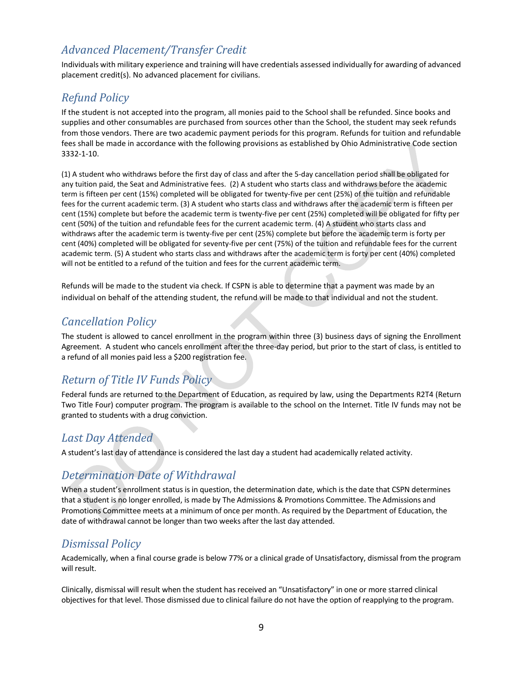## <span id="page-9-0"></span>*Advanced Placement/Transfer Credit*

Individuals with military experience and training will have credentials assessed individually for awarding of advanced placement credit(s). No advanced placement for civilians.

## <span id="page-9-1"></span>*Refund Policy*

If the student is not accepted into the program, all monies paid to the School shall be refunded. Since books and supplies and other consumables are purchased from sources other than the School, the student may seek refunds from those vendors. There are two academic payment periods for this program. Refunds for tuition and refundable fees shall be made in accordance with the following provisions as established by Ohio Administrative Code section 3332-1-10.

(1) A student who withdraws before the first day of class and after the 5-day cancellation period shall be obligated for any tuition paid, the Seat and Administrative fees. (2) A student who starts class and withdraws before the academic term is fifteen per cent (15%) completed will be obligated for twenty-five per cent (25%) of the tuition and refundable fees for the current academic term. (3) A student who starts class and withdraws after the academic term is fifteen per cent (15%) complete but before the academic term is twenty-five per cent (25%) completed will be obligated for fifty per cent (50%) of the tuition and refundable fees for the current academic term. (4) A student who starts class and withdraws after the academic term is twenty-five per cent (25%) complete but before the academic term is forty per cent (40%) completed will be obligated for seventy-five per cent (75%) of the tuition and refundable fees for the current academic term. (5) A student who starts class and withdraws after the academic term is forty per cent (40%) completed will not be entitled to a refund of the tuition and fees for the current academic term.

Refunds will be made to the student via check. If CSPN is able to determine that a payment was made by an individual on behalf of the attending student, the refund will be made to that individual and not the student.

### <span id="page-9-2"></span>*Cancellation Policy*

The student is allowed to cancel enrollment in the program within three (3) business days of signing the Enrollment Agreement. A student who cancels enrollment after the three-day period, but prior to the start of class, is entitled to a refund of all monies paid less a \$200 registration fee.

## <span id="page-9-3"></span>*Return of Title IV Funds Policy*

Federal funds are returned to the Department of Education, as required by law, using the Departments R2T4 (Return Two Title Four) computer program. The program is available to the school on the Internet. Title IV funds may not be granted to students with a drug conviction.

## <span id="page-9-4"></span>*Last Day Attended*

<span id="page-9-5"></span>A student's last day of attendance is considered the last day a student had academically related activity.

## *Determination Date of Withdrawal*

When a student's enrollment status is in question, the determination date, which is the date that CSPN determines that a student is no longer enrolled, is made by The Admissions & Promotions Committee. The Admissions and Promotions Committee meets at a minimum of once per month. As required by the Department of Education, the date of withdrawal cannot be longer than two weeks after the last day attended.

## <span id="page-9-6"></span>*Dismissal Policy*

Academically, when a final course grade is below 77% or a clinical grade of Unsatisfactory, dismissal from the program will result.

Clinically, dismissal will result when the student has received an "Unsatisfactory" in one or more starred clinical objectives for that level. Those dismissed due to clinical failure do not have the option of reapplying to the program.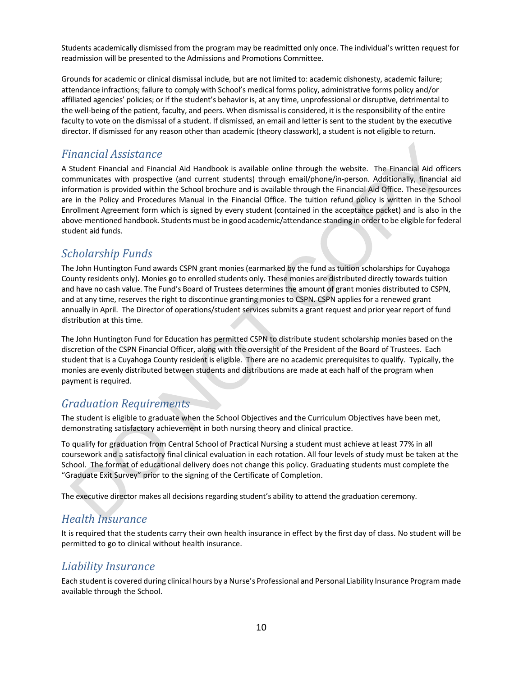Students academically dismissed from the program may be readmitted only once. The individual's written request for readmission will be presented to the Admissions and Promotions Committee.

Grounds for academic or clinical dismissal include, but are not limited to: academic dishonesty, academic failure; attendance infractions; failure to comply with School's medical forms policy, administrative forms policy and/or affiliated agencies' policies; or if the student's behavior is, at any time, unprofessional or disruptive, detrimental to the well-being of the patient, faculty, and peers. When dismissal is considered, it is the responsibility of the entire faculty to vote on the dismissal of a student. If dismissed, an email and letter is sent to the student by the executive director. If dismissed for any reason other than academic (theory classwork), a student is not eligible to return.

### <span id="page-10-0"></span>*Financial Assistance*

A Student Financial and Financial Aid Handbook is available online through the website. The Financial Aid officers communicates with prospective (and current students) through email/phone/in-person. Additionally, financial aid information is provided within the School brochure and is available through the Financial Aid Office. These resources are in the Policy and Procedures Manual in the Financial Office. The tuition refund policy is written in the School Enrollment Agreement form which is signed by every student (contained in the acceptance packet) and is also in the above-mentioned handbook. Students must be in good academic/attendance standing in order to be eligible for federal student aid funds.

## <span id="page-10-1"></span>*Scholarship Funds*

The John Huntington Fund awards CSPN grant monies (earmarked by the fund as tuition scholarships for Cuyahoga County residents only). Monies go to enrolled students only. These monies are distributed directly towards tuition and have no cash value. The Fund's Board of Trustees determines the amount of grant monies distributed to CSPN, and at any time, reserves the right to discontinue granting monies to CSPN. CSPN applies for a renewed grant annually in April. The Director of operations/student services submits a grant request and prior year report of fund distribution at this time.

The John Huntington Fund for Education has permitted CSPN to distribute student scholarship monies based on the discretion of the CSPN Financial Officer, along with the oversight of the President of the Board of Trustees. Each student that is a Cuyahoga County resident is eligible. There are no academic prerequisites to qualify. Typically, the monies are evenly distributed between students and distributions are made at each half of the program when payment is required.

## <span id="page-10-2"></span>*Graduation Requirements*

The student is eligible to graduate when the School Objectives and the Curriculum Objectives have been met, demonstrating satisfactory achievement in both nursing theory and clinical practice.

To qualify for graduation from Central School of Practical Nursing a student must achieve at least 77% in all coursework and a satisfactory final clinical evaluation in each rotation. All four levels of study must be taken at the School. The format of educational delivery does not change this policy. Graduating students must complete the "Graduate Exit Survey" prior to the signing of the Certificate of Completion.

<span id="page-10-3"></span>The executive director makes all decisions regarding student's ability to attend the graduation ceremony.

## *Health Insurance*

It is required that the students carry their own health insurance in effect by the first day of class. No student will be permitted to go to clinical without health insurance.

### <span id="page-10-4"></span>*Liability Insurance*

Each student is covered during clinical hours by a Nurse's Professional and Personal Liability Insurance Program made available through the School.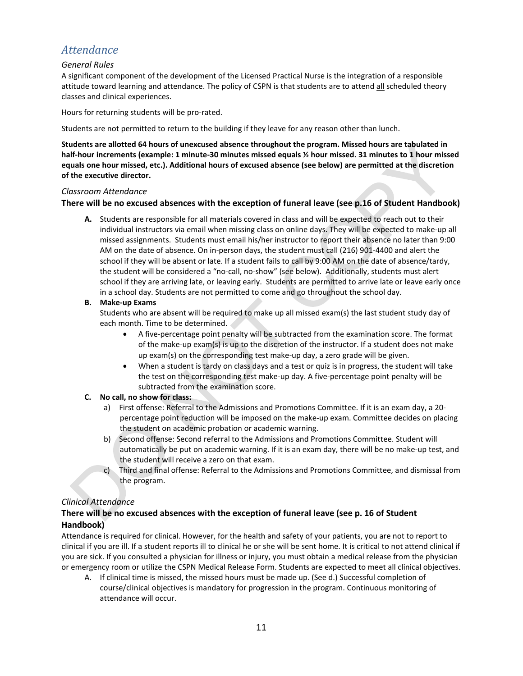## <span id="page-11-0"></span>*Attendance*

#### *General Rules*

A significant component of the development of the Licensed Practical Nurse is the integration of a responsible attitude toward learning and attendance. The policy of CSPN is that students are to attend all scheduled theory classes and clinical experiences.

Hours for returning students will be pro-rated.

Students are not permitted to return to the building if they leave for any reason other than lunch.

**Students are allotted 64 hours of unexcused absence throughout the program. Missed hours are tabulated in half-hour increments (example: 1 minute-30 minutes missed equals ½ hour missed. 31 minutes to 1 hour missed equals one hour missed, etc.). Additional hours of excused absence (see below) are permitted at the discretion of the executive director.** 

#### *Classroom Attendance*

#### **There will be no excused absences with the exception of funeral leave (see p.16 of Student Handbook)**

**A.** Students are responsible for all materials covered in class and will be expected to reach out to their individual instructors via email when missing class on online days. They will be expected to make-up all missed assignments. Students must email his/her instructor to report their absence no later than 9:00 AM on the date of absence. On in-person days, the student must call (216) 901-4400 and alert the school if they will be absent or late. If a student fails to call by 9:00 AM on the date of absence/tardy, the student will be considered a "no-call, no-show" (see below). Additionally, students must alert school if they are arriving late, or leaving early. Students are permitted to arrive late or leave early once in a school day. Students are not permitted to come and go throughout the school day.

#### **B. Make-up Exams**

Students who are absent will be required to make up all missed exam(s) the last student study day of each month. Time to be determined.

- A five-percentage point penalty will be subtracted from the examination score. The format of the make-up exam(s) is up to the discretion of the instructor. If a student does not make up exam(s) on the corresponding test make-up day, a zero grade will be given.
- When a student is tardy on class days and a test or quiz is in progress, the student will take the test on the corresponding test make-up day. A five-percentage point penalty will be subtracted from the examination score.

#### **C. No call, no show for class:**

- a) First offense: Referral to the Admissions and Promotions Committee. If it is an exam day, a 20 percentage point reduction will be imposed on the make-up exam. Committee decides on placing the student on academic probation or academic warning.
- b) Second offense: Second referral to the Admissions and Promotions Committee. Student will automatically be put on academic warning. If it is an exam day, there will be no make-up test, and the student will receive a zero on that exam.
- c) Third and final offense: Referral to the Admissions and Promotions Committee, and dismissal from the program.

#### *Clinical Attendance*

#### **There will be no excused absences with the exception of funeral leave (see p. 16 of Student Handbook)**

Attendance is required for clinical. However, for the health and safety of your patients, you are not to report to clinical if you are ill. If a student reports ill to clinical he or she will be sent home. It is critical to not attend clinical if you are sick. If you consulted a physician for illness or injury, you must obtain a medical release from the physician or emergency room or utilize the CSPN Medical Release Form. Students are expected to meet all clinical objectives.

A. If clinical time is missed, the missed hours must be made up. (See d.) Successful completion of course/clinical objectives is mandatory for progression in the program. Continuous monitoring of attendance will occur.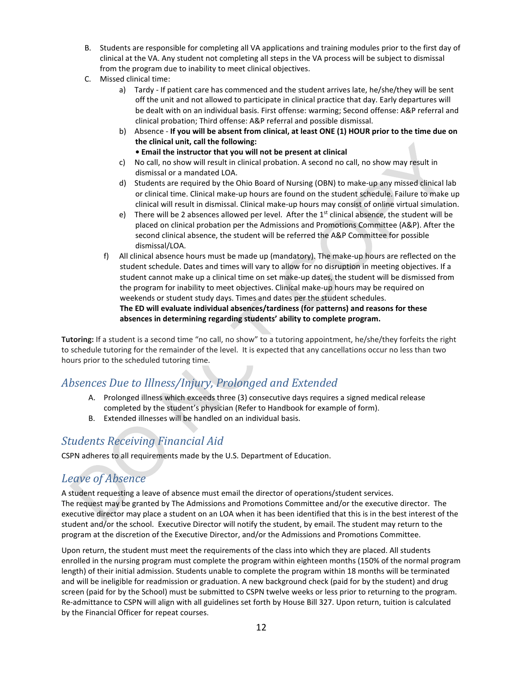- B. Students are responsible for completing all VA applications and training modules prior to the first day of clinical at the VA. Any student not completing all steps in the VA process will be subject to dismissal from the program due to inability to meet clinical objectives.
- C. Missed clinical time:
	- a) Tardy If patient care has commenced and the student arrives late, he/she/they will be sent off the unit and not allowed to participate in clinical practice that day. Early departures will be dealt with on an individual basis. First offense: warming; Second offense: A&P referral and clinical probation; Third offense: A&P referral and possible dismissal.
	- b) Absence **If you will be absent from clinical, at least ONE (1) HOUR prior to the time due on the clinical unit, call the following:**
		- **Email the instructor that you will not be present at clinical**
	- c) No call, no show will result in clinical probation. A second no call, no show may result in dismissal or a mandated LOA.
	- d) Students are required by the Ohio Board of Nursing (OBN) to make-up any missed clinical lab or clinical time. Clinical make-up hours are found on the student schedule. Failure to make up clinical will result in dismissal. Clinical make-up hours may consist of online virtual simulation.
	- e) There will be 2 absences allowed per level. After the  $1<sup>st</sup>$  clinical absence, the student will be placed on clinical probation per the Admissions and Promotions Committee (A&P). After the second clinical absence, the student will be referred the A&P Committee for possible dismissal/LOA.
	- f) All clinical absence hours must be made up (mandatory). The make-up hours are reflected on the student schedule. Dates and times will vary to allow for no disruption in meeting objectives. If a student cannot make up a clinical time on set make-up dates, the student will be dismissed from the program for inability to meet objectives. Clinical make-up hours may be required on weekends or student study days. Times and dates per the student schedules. **The ED will evaluate individual absences/tardiness (for patterns) and reasons for these absences in determining regarding students' ability to complete program.**

**Tutoring:** If a student is a second time "no call, no show" to a tutoring appointment, he/she/they forfeits the right to schedule tutoring for the remainder of the level. It is expected that any cancellations occur no less than two hours prior to the scheduled tutoring time.

## <span id="page-12-0"></span>*Absences Due to Illness/Injury, Prolonged and Extended*

- A. Prolonged illness which exceeds three (3) consecutive days requires a signed medical release completed by the student's physician (Refer to Handbook for example of form).
- B. Extended illnesses will be handled on an individual basis.

## <span id="page-12-1"></span>*Students Receiving Financial Aid*

<span id="page-12-2"></span>CSPN adheres to all requirements made by the U.S. Department of Education.

## *Leave of Absence*

A student requesting a leave of absence must email the director of operations/student services. The request may be granted by The Admissions and Promotions Committee and/or the executive director. The executive director may place a student on an LOA when it has been identified that this is in the best interest of the student and/or the school. Executive Director will notify the student, by email. The student may return to the program at the discretion of the Executive Director, and/or the Admissions and Promotions Committee.

Upon return, the student must meet the requirements of the class into which they are placed. All students enrolled in the nursing program must complete the program within eighteen months (150% of the normal program length) of their initial admission. Students unable to complete the program within 18 months will be terminated and will be ineligible for readmission or graduation. A new background check (paid for by the student) and drug screen (paid for by the School) must be submitted to CSPN twelve weeks or less prior to returning to the program. Re-admittance to CSPN will align with all guidelines set forth by House Bill 327. Upon return, tuition is calculated by the Financial Officer for repeat courses.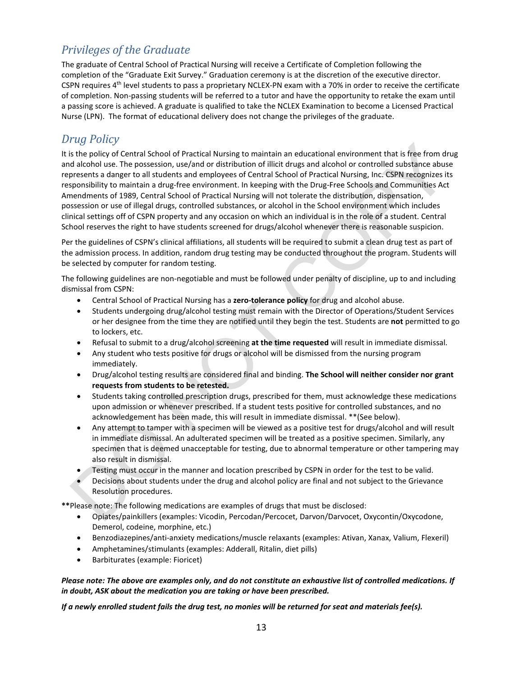## <span id="page-13-0"></span>*Privileges of the Graduate*

The graduate of Central School of Practical Nursing will receive a Certificate of Completion following the completion of the "Graduate Exit Survey." Graduation ceremony is at the discretion of the executive director. CSPN requires 4th level students to pass a proprietary NCLEX-PN exam with a 70% in order to receive the certificate of completion. Non-passing students will be referred to a tutor and have the opportunity to retake the exam until a passing score is achieved. A graduate is qualified to take the NCLEX Examination to become a Licensed Practical Nurse (LPN). The format of educational delivery does not change the privileges of the graduate.

## <span id="page-13-1"></span>*Drug Policy*

It is the policy of Central School of Practical Nursing to maintain an educational environment that is free from drug and alcohol use. The possession, use/and or distribution of illicit drugs and alcohol or controlled substance abuse represents a danger to all students and employees of Central School of Practical Nursing, Inc. CSPN recognizes its responsibility to maintain a drug-free environment. In keeping with the Drug-Free Schools and Communities Act Amendments of 1989, Central School of Practical Nursing will not tolerate the distribution, dispensation, possession or use of illegal drugs, controlled substances, or alcohol in the School environment which includes clinical settings off of CSPN property and any occasion on which an individual is in the role of a student. Central School reserves the right to have students screened for drugs/alcohol whenever there is reasonable suspicion.

Per the guidelines of CSPN's clinical affiliations, all students will be required to submit a clean drug test as part of the admission process. In addition, random drug testing may be conducted throughout the program. Students will be selected by computer for random testing.

The following guidelines are non-negotiable and must be followed under penalty of discipline, up to and including dismissal from CSPN:

- Central School of Practical Nursing has a **zero-tolerance policy** for drug and alcohol abuse.
- Students undergoing drug/alcohol testing must remain with the Director of Operations/Student Services or her designee from the time they are notified until they begin the test. Students are **not** permitted to go to lockers, etc.
- Refusal to submit to a drug/alcohol screening **at the time requested** will result in immediate dismissal.
- Any student who tests positive for drugs or alcohol will be dismissed from the nursing program immediately.
- Drug/alcohol testing results are considered final and binding. **The School will neither consider nor grant requests from students to be retested.**
- Students taking controlled prescription drugs, prescribed for them, must acknowledge these medications upon admission or whenever prescribed. If a student tests positive for controlled substances, and no acknowledgement has been made, this will result in immediate dismissal. \*\*(See below).
- Any attempt to tamper with a specimen will be viewed as a positive test for drugs/alcohol and will result in immediate dismissal. An adulterated specimen will be treated as a positive specimen. Similarly, any specimen that is deemed unacceptable for testing, due to abnormal temperature or other tampering may also result in dismissal.
- Testing must occur in the manner and location prescribed by CSPN in order for the test to be valid.
- Decisions about students under the drug and alcohol policy are final and not subject to the Grievance Resolution procedures.

**\*\***Please note: The following medications are examples of drugs that must be disclosed:

- Opiates/painkillers (examples: Vicodin, Percodan/Percocet, Darvon/Darvocet, Oxycontin/Oxycodone, Demerol, codeine, morphine, etc.)
- Benzodiazepines/anti-anxiety medications/muscle relaxants (examples: Ativan, Xanax, Valium, Flexeril)
- Amphetamines/stimulants (examples: Adderall, Ritalin, diet pills)
- Barbiturates (example: Fioricet)

*Please note: The above are examples only, and do not constitute an exhaustive list of controlled medications. If in doubt, ASK about the medication you are taking or have been prescribed.*

*If a newly enrolled student fails the drug test, no monies will be returned for seat and materials fee(s).*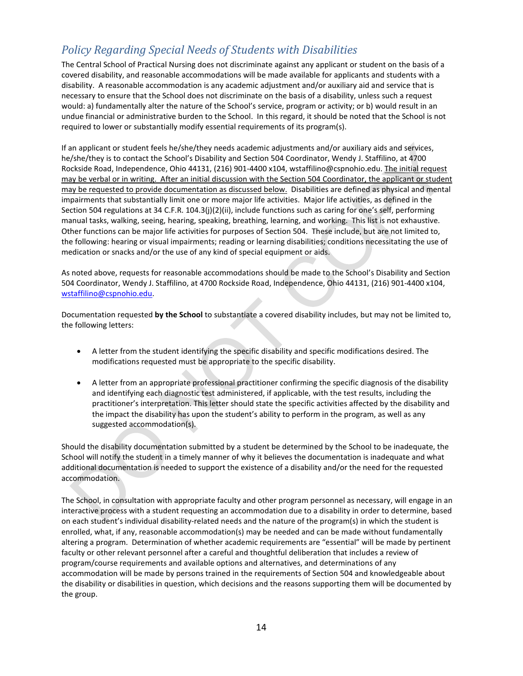## <span id="page-14-0"></span>*Policy Regarding Special Needs of Students with Disabilities*

The Central School of Practical Nursing does not discriminate against any applicant or student on the basis of a covered disability, and reasonable accommodations will be made available for applicants and students with a disability. A reasonable accommodation is any academic adjustment and/or auxiliary aid and service that is necessary to ensure that the School does not discriminate on the basis of a disability, unless such a request would: a) fundamentally alter the nature of the School's service, program or activity; or b) would result in an undue financial or administrative burden to the School. In this regard, it should be noted that the School is not required to lower or substantially modify essential requirements of its program(s).

If an applicant or student feels he/she/they needs academic adjustments and/or auxiliary aids and services, he/she/they is to contact the School's Disability and Section 504 Coordinator, Wendy J. Staffilino, at 4700 Rockside Road, Independence, Ohio 44131, (216) 901-4400 x104, wstaffilino@cspnohio.edu. The initial request may be verbal or in writing. After an initial discussion with the Section 504 Coordinator, the applicant or student may be requested to provide documentation as discussed below. Disabilities are defined as physical and mental impairments that substantially limit one or more major life activities. Major life activities, as defined in the Section 504 regulations at 34 C.F.R. 104.3(j)(2)(ii), include functions such as caring for one's self, performing manual tasks, walking, seeing, hearing, speaking, breathing, learning, and working. This list is not exhaustive. Other functions can be major life activities for purposes of Section 504. These include, but are not limited to, the following: hearing or visual impairments; reading or learning disabilities; conditions necessitating the use of medication or snacks and/or the use of any kind of special equipment or aids.

As noted above, requests for reasonable accommodations should be made to the School's Disability and Section 504 Coordinator, Wendy J. Staffilino, at 4700 Rockside Road, Independence, Ohio 44131, (216) 901-4400 x104, [wstaffilino@cspnohio.edu.](mailto:wstaffilino@cspnohio.edu) 

Documentation requested **by the School** to substantiate a covered disability includes, but may not be limited to, the following letters:

- A letter from the student identifying the specific disability and specific modifications desired. The modifications requested must be appropriate to the specific disability.
- A letter from an appropriate professional practitioner confirming the specific diagnosis of the disability and identifying each diagnostic test administered, if applicable, with the test results, including the practitioner's interpretation. This letter should state the specific activities affected by the disability and the impact the disability has upon the student's ability to perform in the program, as well as any suggested accommodation(s).

Should the disability documentation submitted by a student be determined by the School to be inadequate, the School will notify the student in a timely manner of why it believes the documentation is inadequate and what additional documentation is needed to support the existence of a disability and/or the need for the requested accommodation.

The School, in consultation with appropriate faculty and other program personnel as necessary, will engage in an interactive process with a student requesting an accommodation due to a disability in order to determine, based on each student's individual disability-related needs and the nature of the program(s) in which the student is enrolled, what, if any, reasonable accommodation(s) may be needed and can be made without fundamentally altering a program. Determination of whether academic requirements are "essential" will be made by pertinent faculty or other relevant personnel after a careful and thoughtful deliberation that includes a review of program/course requirements and available options and alternatives, and determinations of any accommodation will be made by persons trained in the requirements of Section 504 and knowledgeable about the disability or disabilities in question, which decisions and the reasons supporting them will be documented by the group.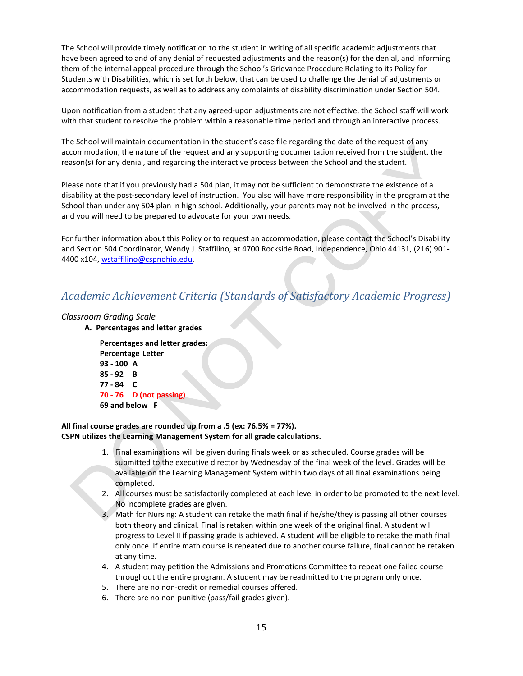The School will provide timely notification to the student in writing of all specific academic adjustments that have been agreed to and of any denial of requested adjustments and the reason(s) for the denial, and informing them of the internal appeal procedure through the School's Grievance Procedure Relating to its Policy for Students with Disabilities, which is set forth below, that can be used to challenge the denial of adjustments or accommodation requests, as well as to address any complaints of disability discrimination under Section 504.

Upon notification from a student that any agreed-upon adjustments are not effective, the School staff will work with that student to resolve the problem within a reasonable time period and through an interactive process.

The School will maintain documentation in the student's case file regarding the date of the request of any accommodation, the nature of the request and any supporting documentation received from the student, the reason(s) for any denial, and regarding the interactive process between the School and the student.

Please note that if you previously had a 504 plan, it may not be sufficient to demonstrate the existence of a disability at the post-secondary level of instruction. You also will have more responsibility in the program at the School than under any 504 plan in high school. Additionally, your parents may not be involved in the process, and you will need to be prepared to advocate for your own needs.

For further information about this Policy or to request an accommodation, please contact the School's Disability and Section 504 Coordinator, Wendy J. Staffilino, at 4700 Rockside Road, Independence, Ohio 44131, (216) 901- 4400 x104, [wstaffilino@cspnohio.edu.](mailto:wstaffilino@cspnohio.edu)

### *Academic Achievement Criteria (Standards of Satisfactory Academic Progress)*

#### *Classroom Grading Scale*

**A. Percentages and letter grades**

**Percentages and letter grades: Percentage Letter 93 - 100 A 85 - 92 B 77 - 84 C 70 - 76 D (not passing) 69 and below F** 

#### **All final course grades are rounded up from a .5 (ex: 76.5% = 77%). CSPN utilizes the Learning Management System for all grade calculations.**

- 1. Final examinations will be given during finals week or as scheduled. Course grades will be submitted to the executive director by Wednesday of the final week of the level. Grades will be available on the Learning Management System within two days of all final examinations being completed.
- 2. All courses must be satisfactorily completed at each level in order to be promoted to the next level. No incomplete grades are given.
- 3. Math for Nursing: A student can retake the math final if he/she/they is passing all other courses both theory and clinical. Final is retaken within one week of the original final. A student will progress to Level II if passing grade is achieved. A student will be eligible to retake the math final only once. If entire math course is repeated due to another course failure, final cannot be retaken at any time.
- 4. A student may petition the Admissions and Promotions Committee to repeat one failed course throughout the entire program. A student may be readmitted to the program only once.
- 5. There are no non-credit or remedial courses offered.
- 6. There are no non-punitive (pass/fail grades given).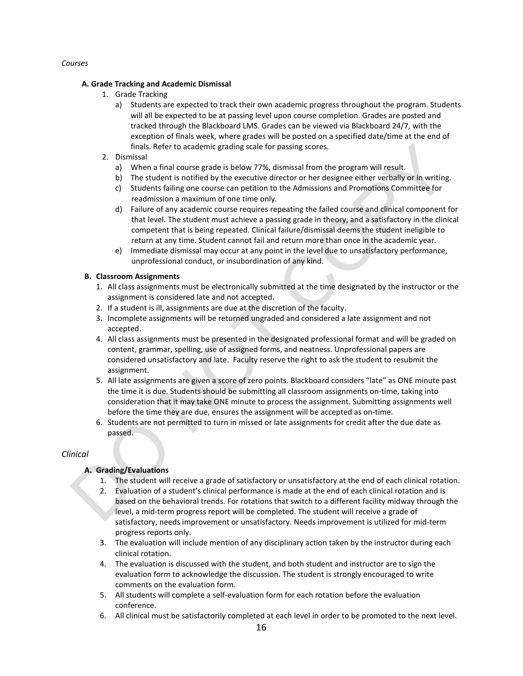#### *Courses*

#### **A. Grade Tracking and Academic Dismissal**

- 1. Grade Tracking
	- a) Students are expected to track their own academic progress throughout the program. Students will all be expected to be at passing level upon course completion. Grades are posted and tracked through the Blackboard LMS. Grades can be viewed via Blackboard 24/7, with the exception of finals week, where grades will be posted on a specified date/time at the end of finals. Refer to academic grading scale for passing scores.
- 2. Dismissal
	- a) When a final course grade is below 77%, dismissal from the program will result.
	- b) The student is notified by the executive director or her designee either verbally or in writing.
	- c) Students failing one course can petition to the Admissions and Promotions Committee for readmission a maximum of one time only.
	- d) Failure of any academic course requires repeating the failed course and clinical component for that level. The student must achieve a passing grade in theory, and a satisfactory in the clinical competent that is being repeated. Clinical failure/dismissal deems the student ineligible to return at any time. Student cannot fail and return more than once in the academic year.
	- e) Immediate dismissal may occur at any point in the level due to unsatisfactory performance, unprofessional conduct, or insubordination of any kind.

#### **B. Classroom Assignments**

- 1. All class assignments must be electronically submitted at the time designated by the instructor or the assignment is considered late and not accepted.
- 2. If a student is ill, assignments are due at the discretion of the faculty.
- 3. Incomplete assignments will be returned ungraded and considered a late assignment and not accepted.
- 4. All class assignments must be presented in the designated professional format and will be graded on content, grammar, spelling, use of assigned forms, and neatness. Unprofessional papers are considered unsatisfactory and late. Faculty reserve the right to ask the student to resubmit the assignment.
- 5. All late assignments are given a score of zero points. Blackboard considers "late" as ONE minute past the time it is due. Students should be submitting all classroom assignments on-time, taking into consideration that it may take ONE minute to process the assignment. Submitting assignments well before the time they are due, ensures the assignment will be accepted as on-time.
- 6. Students are not permitted to turn in missed or late assignments for credit after the due date as passed.

#### *Clinical*

#### **A. Grading/Evaluations**

- 1. The student will receive a grade of satisfactory or unsatisfactory at the end of each clinical rotation.
- 2. Evaluation of a student's clinical performance is made at the end of each clinical rotation and is based on the behavioral trends. For rotations that switch to a different facility midway through the level, a mid-term progress report will be completed. The student will receive a grade of satisfactory, needs improvement or unsatisfactory. Needs improvement is utilized for mid-term progress reports only.
- 3. The evaluation will include mention of any disciplinary action taken by the instructor during each clinical rotation.
- 4. The evaluation is discussed with the student, and both student and instructor are to sign the evaluation form to acknowledge the discussion. The student is strongly encouraged to write comments on the evaluation form.
- 5. All students will complete a self-evaluation form for each rotation before the evaluation conference.
- 6. All clinical must be satisfactorily completed at each level in order to be promoted to the next level.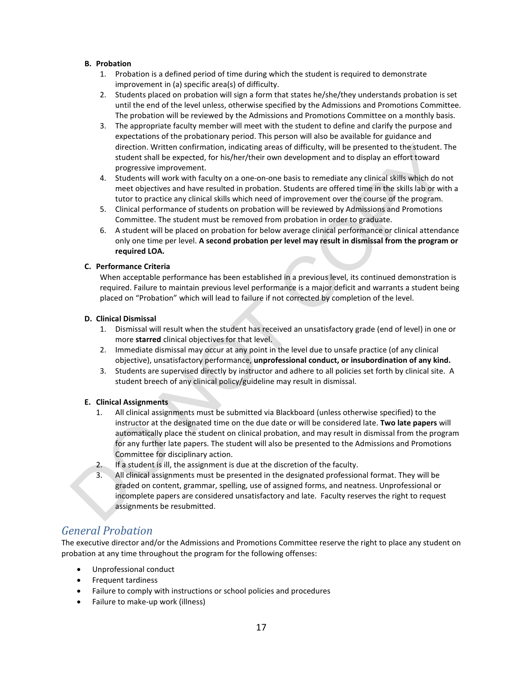#### **B. Probation**

- 1. Probation is a defined period of time during which the student is required to demonstrate improvement in (a) specific area(s) of difficulty.
- 2. Students placed on probation will sign a form that states he/she/they understands probation is set until the end of the level unless, otherwise specified by the Admissions and Promotions Committee. The probation will be reviewed by the Admissions and Promotions Committee on a monthly basis.
- 3. The appropriate faculty member will meet with the student to define and clarify the purpose and expectations of the probationary period. This person will also be available for guidance and direction. Written confirmation, indicating areas of difficulty, will be presented to the student. The student shall be expected, for his/her/their own development and to display an effort toward progressive improvement.
- 4. Students will work with faculty on a one-on-one basis to remediate any clinical skills which do not meet objectives and have resulted in probation. Students are offered time in the skills lab or with a tutor to practice any clinical skills which need of improvement over the course of the program.
- 5. Clinical performance of students on probation will be reviewed by Admissions and Promotions Committee. The student must be removed from probation in order to graduate.
- 6. A student will be placed on probation for below average clinical performance or clinical attendance only one time per level. **A second probation per level may result in dismissal from the program or required LOA.**

#### **C. Performance Criteria**

When acceptable performance has been established in a previous level, its continued demonstration is required. Failure to maintain previous level performance is a major deficit and warrants a student being placed on "Probation" which will lead to failure if not corrected by completion of the level.

#### **D. Clinical Dismissal**

- 1. Dismissal will result when the student has received an unsatisfactory grade (end of level) in one or more **starred** clinical objectives for that level.
- 2. Immediate dismissal may occur at any point in the level due to unsafe practice (of any clinical objective), unsatisfactory performance, **unprofessional conduct, or insubordination of any kind.**
- 3. Students are supervised directly by instructor and adhere to all policies set forth by clinical site. A student breech of any clinical policy/guideline may result in dismissal.

#### **E. Clinical Assignments**

- 1. All clinical assignments must be submitted via Blackboard (unless otherwise specified) to the instructor at the designated time on the due date or will be considered late. **Two late papers** will automatically place the student on clinical probation, and may result in dismissal from the program for any further late papers. The student will also be presented to the Admissions and Promotions Committee for disciplinary action.
- 2. If a student is ill, the assignment is due at the discretion of the faculty.
- All clinical assignments must be presented in the designated professional format. They will be graded on content, grammar, spelling, use of assigned forms, and neatness. Unprofessional or incomplete papers are considered unsatisfactory and late. Faculty reserves the right to request assignments be resubmitted.

### *General Probation*

The executive director and/or the Admissions and Promotions Committee reserve the right to place any student on probation at any time throughout the program for the following offenses:

- Unprofessional conduct
- Frequent tardiness
- Failure to comply with instructions or school policies and procedures
- Failure to make-up work (illness)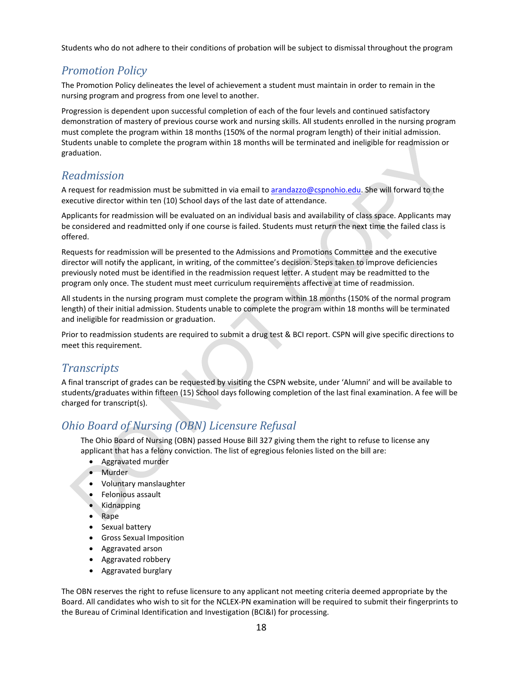<span id="page-18-0"></span>Students who do not adhere to their conditions of probation will be subject to dismissal throughout the program

## *Promotion Policy*

The Promotion Policy delineates the level of achievement a student must maintain in order to remain in the nursing program and progress from one level to another.

Progression is dependent upon successful completion of each of the four levels and continued satisfactory demonstration of mastery of previous course work and nursing skills. All students enrolled in the nursing program must complete the program within 18 months (150% of the normal program length) of their initial admission. Students unable to complete the program within 18 months will be terminated and ineligible for readmission or graduation.

## <span id="page-18-1"></span>*Readmission*

A request for readmission must be submitted in via email t[o arandazzo@cspnohio.edu.](mailto:arandazzo@cspnohio.edu) She will forward to the executive director within ten (10) School days of the last date of attendance.

Applicants for readmission will be evaluated on an individual basis and availability of class space. Applicants may be considered and readmitted only if one course is failed. Students must return the next time the failed class is offered.

Requests for readmission will be presented to the Admissions and Promotions Committee and the executive director will notify the applicant, in writing, of the committee's decision. Steps taken to improve deficiencies previously noted must be identified in the readmission request letter. A student may be readmitted to the program only once. The student must meet curriculum requirements affective at time of readmission.

All students in the nursing program must complete the program within 18 months (150% of the normal program length) of their initial admission. Students unable to complete the program within 18 months will be terminated and ineligible for readmission or graduation.

Prior to readmission students are required to submit a drug test & BCI report. CSPN will give specific directions to meet this requirement.

## <span id="page-18-2"></span>*Transcripts*

A final transcript of grades can be requested by visiting the CSPN website, under 'Alumni' and will be available to students/graduates within fifteen (15) School days following completion of the last final examination. A fee will be charged for transcript(s).

## <span id="page-18-3"></span>*Ohio Board of Nursing (OBN) Licensure Refusal*

The Ohio Board of Nursing (OBN) passed House Bill 327 giving them the right to refuse to license any applicant that has a felony conviction. The list of egregious felonies listed on the bill are:

- Aggravated murder
- Murder
- Voluntary manslaughter
- Felonious assault
- Kidnapping
- Rape
- Sexual battery
- Gross Sexual Imposition
- Aggravated arson
- Aggravated robbery
- Aggravated burglary

The OBN reserves the right to refuse licensure to any applicant not meeting criteria deemed appropriate by the Board. All candidates who wish to sit for the NCLEX-PN examination will be required to submit their fingerprints to the Bureau of Criminal Identification and Investigation (BCI&I) for processing.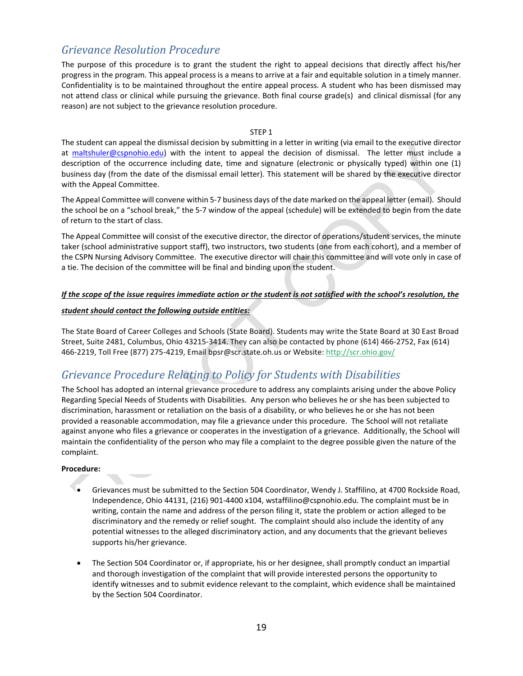## <span id="page-19-0"></span>*Grievance Resolution Procedure*

The purpose of this procedure is to grant the student the right to appeal decisions that directly affect his/her progress in the program. This appeal process is a means to arrive at a fair and equitable solution in a timely manner. Confidentiality is to be maintained throughout the entire appeal process. A student who has been dismissed may not attend class or clinical while pursuing the grievance. Both final course grade(s) and clinical dismissal (for any reason) are not subject to the grievance resolution procedure.

#### STEP 1

The student can appeal the dismissal decision by submitting in a letter in writing (via email to the executive director at [maltshuler@cspnohio.edu\)](mailto:maltshuler@cspnohio.edu) with the intent to appeal the decision of dismissal. The letter must include a description of the occurrence including date, time and signature (electronic or physically typed) within one (1) business day (from the date of the dismissal email letter). This statement will be shared by the executive director with the Appeal Committee.

The Appeal Committee will convene within 5-7 business days of the date marked on the appeal letter (email). Should the school be on a "school break," the 5-7 window of the appeal (schedule) will be extended to begin from the date of return to the start of class.

The Appeal Committee will consist of the executive director, the director of operations/student services, the minute taker (school administrative support staff), two instructors, two students (one from each cohort), and a member of the CSPN Nursing Advisory Committee. The executive director will chair this committee and will vote only in case of a tie. The decision of the committee will be final and binding upon the student.

#### *If the scope of the issue requires immediate action or the student is not satisfied with the school's resolution, the*

#### *student should contact the following outside entities:*

The State Board of Career Colleges and Schools (State Board). Students may write the State Board at 30 East Broad Street, Suite 2481, Columbus, Ohio 43215-3414. They can also be contacted by phone (614) 466-2752, Fax (614) 466-2219, Toll Free (877) 275-4219, Email bpsr@scr.state.oh.us or Website:<http://scr.ohio.gov/>

## <span id="page-19-1"></span>*Grievance Procedure Relating to Policy for Students with Disabilities*

The School has adopted an internal grievance procedure to address any complaints arising under the above Policy Regarding Special Needs of Students with Disabilities. Any person who believes he or she has been subjected to discrimination, harassment or retaliation on the basis of a disability, or who believes he or she has not been provided a reasonable accommodation, may file a grievance under this procedure. The School will not retaliate against anyone who files a grievance or cooperates in the investigation of a grievance. Additionally, the School will maintain the confidentiality of the person who may file a complaint to the degree possible given the nature of the complaint.

#### **Procedure:**

- Grievances must be submitted to the Section 504 Coordinator, Wendy J. Staffilino, at 4700 Rockside Road, Independence, Ohio 44131, (216) 901-4400 x104, wstaffilino@cspnohio.edu. The complaint must be in writing, contain the name and address of the person filing it, state the problem or action alleged to be discriminatory and the remedy or relief sought. The complaint should also include the identity of any potential witnesses to the alleged discriminatory action, and any documents that the grievant believes supports his/her grievance.
- The Section 504 Coordinator or, if appropriate, his or her designee, shall promptly conduct an impartial and thorough investigation of the complaint that will provide interested persons the opportunity to identify witnesses and to submit evidence relevant to the complaint, which evidence shall be maintained by the Section 504 Coordinator.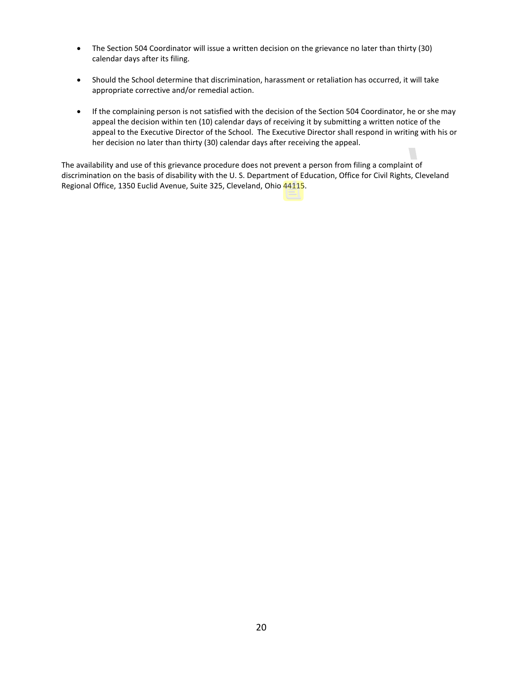- The Section 504 Coordinator will issue a written decision on the grievance no later than thirty (30) calendar days after its filing.
- Should the School determine that discrimination, harassment or retaliation has occurred, it will take appropriate corrective and/or remedial action.
- If the complaining person is not satisfied with the decision of the Section 504 Coordinator, he or she may appeal the decision within ten (10) calendar days of receiving it by submitting a written notice of the appeal to the Executive Director of the School. The Executive Director shall respond in writing with his or her decision no later than thirty (30) calendar days after receiving the appeal.

The availability and use of this grievance procedure does not prevent a person from filing a complaint of discrimination on the basis of disability with the U. S. Department of Education, Office for Civil Rights, Cleveland Regional Office, 1350 Euclid Avenue, Suite 325, Cleveland, Ohio 44115.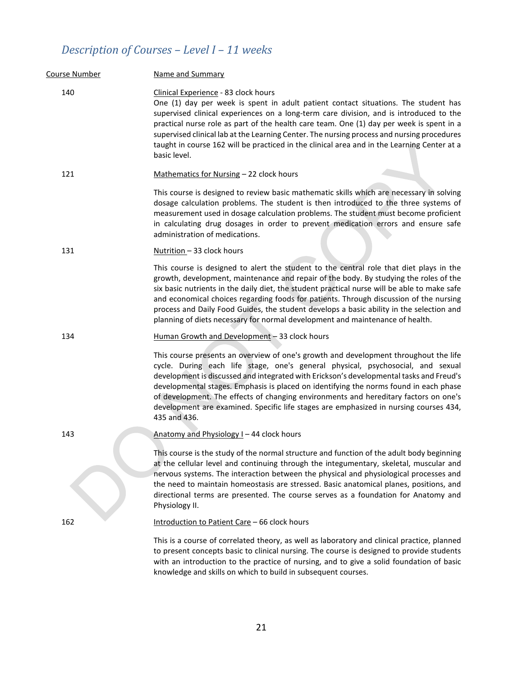# *Description of Courses – Level I – 11 weeks*

| Course Number | Name and Summary                                                                                                                                                                                                                                                                                                                                                                                                                                                                                                                                             |
|---------------|--------------------------------------------------------------------------------------------------------------------------------------------------------------------------------------------------------------------------------------------------------------------------------------------------------------------------------------------------------------------------------------------------------------------------------------------------------------------------------------------------------------------------------------------------------------|
| 140           | Clinical Experience - 83 clock hours<br>One (1) day per week is spent in adult patient contact situations. The student has<br>supervised clinical experiences on a long-term care division, and is introduced to the<br>practical nurse role as part of the health care team. One (1) day per week is spent in a<br>supervised clinical lab at the Learning Center. The nursing process and nursing procedures<br>taught in course 162 will be practiced in the clinical area and in the Learning Center at a<br>basic level.                                |
| 121           | Mathematics for Nursing - 22 clock hours                                                                                                                                                                                                                                                                                                                                                                                                                                                                                                                     |
|               | This course is designed to review basic mathematic skills which are necessary in solving<br>dosage calculation problems. The student is then introduced to the three systems of<br>measurement used in dosage calculation problems. The student must become proficient<br>in calculating drug dosages in order to prevent medication errors and ensure safe<br>administration of medications.                                                                                                                                                                |
| 131           | Nutrition - 33 clock hours                                                                                                                                                                                                                                                                                                                                                                                                                                                                                                                                   |
|               | This course is designed to alert the student to the central role that diet plays in the<br>growth, development, maintenance and repair of the body. By studying the roles of the<br>six basic nutrients in the daily diet, the student practical nurse will be able to make safe<br>and economical choices regarding foods for patients. Through discussion of the nursing<br>process and Daily Food Guides, the student develops a basic ability in the selection and<br>planning of diets necessary for normal development and maintenance of health.      |
| 134           | Human Growth and Development - 33 clock hours                                                                                                                                                                                                                                                                                                                                                                                                                                                                                                                |
|               | This course presents an overview of one's growth and development throughout the life<br>cycle. During each life stage, one's general physical, psychosocial, and sexual<br>development is discussed and integrated with Erickson's developmental tasks and Freud's<br>developmental stages. Emphasis is placed on identifying the norms found in each phase<br>of development. The effects of changing environments and hereditary factors on one's<br>development are examined. Specific life stages are emphasized in nursing courses 434,<br>435 and 436. |
| 143           | Anatomy and Physiology I - 44 clock hours                                                                                                                                                                                                                                                                                                                                                                                                                                                                                                                    |
|               | This course is the study of the normal structure and function of the adult body beginning<br>at the cellular level and continuing through the integumentary, skeletal, muscular and<br>nervous systems. The interaction between the physical and physiological processes and<br>the need to maintain homeostasis are stressed. Basic anatomical planes, positions, and<br>directional terms are presented. The course serves as a foundation for Anatomy and<br>Physiology II.                                                                               |
| 162           | Introduction to Patient Care - 66 clock hours                                                                                                                                                                                                                                                                                                                                                                                                                                                                                                                |
|               | This is a course of correlated theory, as well as laboratory and clinical practice, planned<br>to present concepts basic to clinical nursing. The course is designed to provide students<br>with an introduction to the practice of nursing, and to give a solid foundation of basic<br>knowledge and skills on which to build in subsequent courses.                                                                                                                                                                                                        |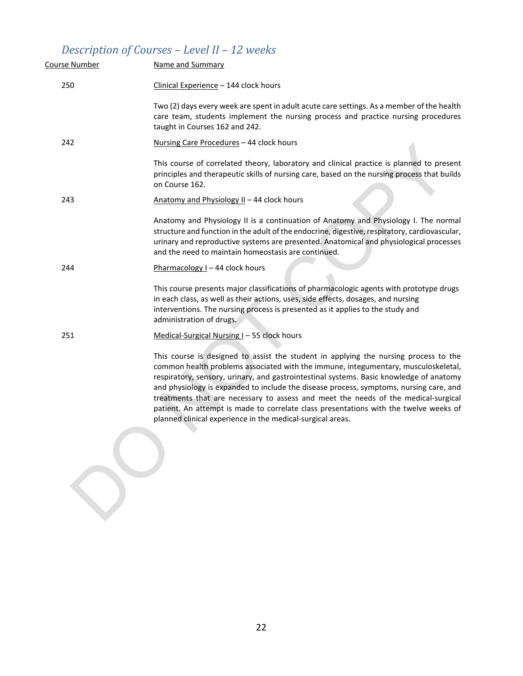# <span id="page-22-0"></span>*Description of Courses – Level II – 12 weeks*

SP

| 250<br>Clinical Experience - 144 clock hours<br>taught in Courses 162 and 242.<br>242<br>Nursing Care Procedures - 44 clock hours<br>on Course 162.<br>243<br>Anatomy and Physiology II - 44 clock hours<br>and the need to maintain homeostasis are continued.<br>244<br>Pharmacology I - 44 clock hours<br>in each class, as well as their actions, uses, side effects, dosages, and nursing<br>interventions. The nursing process is presented as it applies to the study and<br>administration of drugs.<br>Medical-Surgical Nursing I - 55 clock hours<br>251<br>planned clinical experience in the medical-surgical areas. | Course Number | Name and Summary                                                                                                                                                                                                                                                                                                                                                                                                                                                                                                                               |
|----------------------------------------------------------------------------------------------------------------------------------------------------------------------------------------------------------------------------------------------------------------------------------------------------------------------------------------------------------------------------------------------------------------------------------------------------------------------------------------------------------------------------------------------------------------------------------------------------------------------------------|---------------|------------------------------------------------------------------------------------------------------------------------------------------------------------------------------------------------------------------------------------------------------------------------------------------------------------------------------------------------------------------------------------------------------------------------------------------------------------------------------------------------------------------------------------------------|
|                                                                                                                                                                                                                                                                                                                                                                                                                                                                                                                                                                                                                                  |               |                                                                                                                                                                                                                                                                                                                                                                                                                                                                                                                                                |
|                                                                                                                                                                                                                                                                                                                                                                                                                                                                                                                                                                                                                                  |               | Two (2) days every week are spent in adult acute care settings. As a member of the health<br>care team, students implement the nursing process and practice nursing procedures                                                                                                                                                                                                                                                                                                                                                                 |
|                                                                                                                                                                                                                                                                                                                                                                                                                                                                                                                                                                                                                                  |               |                                                                                                                                                                                                                                                                                                                                                                                                                                                                                                                                                |
|                                                                                                                                                                                                                                                                                                                                                                                                                                                                                                                                                                                                                                  |               | This course of correlated theory, laboratory and clinical practice is planned to present<br>principles and therapeutic skills of nursing care, based on the nursing process that builds                                                                                                                                                                                                                                                                                                                                                        |
|                                                                                                                                                                                                                                                                                                                                                                                                                                                                                                                                                                                                                                  |               |                                                                                                                                                                                                                                                                                                                                                                                                                                                                                                                                                |
|                                                                                                                                                                                                                                                                                                                                                                                                                                                                                                                                                                                                                                  |               | Anatomy and Physiology II is a continuation of Anatomy and Physiology I. The normal<br>structure and function in the adult of the endocrine, digestive, respiratory, cardiovascular,<br>urinary and reproductive systems are presented. Anatomical and physiological processes                                                                                                                                                                                                                                                                 |
|                                                                                                                                                                                                                                                                                                                                                                                                                                                                                                                                                                                                                                  |               |                                                                                                                                                                                                                                                                                                                                                                                                                                                                                                                                                |
|                                                                                                                                                                                                                                                                                                                                                                                                                                                                                                                                                                                                                                  |               | This course presents major classifications of pharmacologic agents with prototype drugs                                                                                                                                                                                                                                                                                                                                                                                                                                                        |
|                                                                                                                                                                                                                                                                                                                                                                                                                                                                                                                                                                                                                                  |               |                                                                                                                                                                                                                                                                                                                                                                                                                                                                                                                                                |
|                                                                                                                                                                                                                                                                                                                                                                                                                                                                                                                                                                                                                                  |               | This course is designed to assist the student in applying the nursing process to the<br>common health problems associated with the immune, integumentary, musculoskeletal,<br>respiratory, sensory, urinary, and gastrointestinal systems. Basic knowledge of anatomy<br>and physiology is expanded to include the disease process, symptoms, nursing care, and<br>treatments that are necessary to assess and meet the needs of the medical-surgical<br>patient. An attempt is made to correlate class presentations with the twelve weeks of |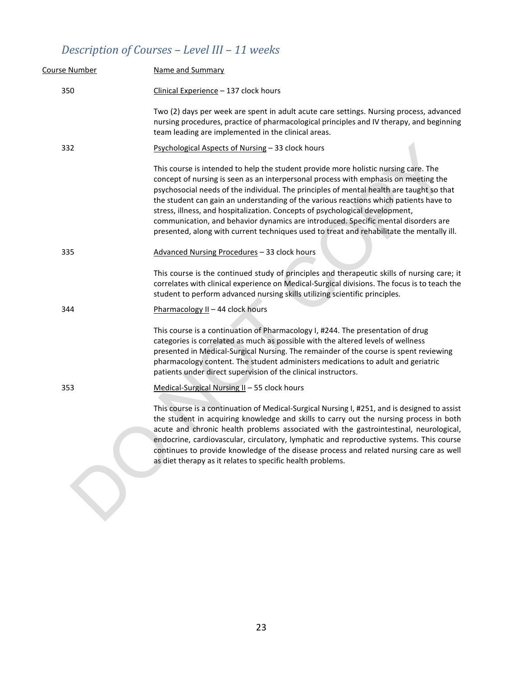# *Description of Courses – Level III – 11 weeks*

| Course Number | Name and Summary                                                                                                                                                                                                                                                                                                                                                                                                                                                                                                                                                                                                                   |
|---------------|------------------------------------------------------------------------------------------------------------------------------------------------------------------------------------------------------------------------------------------------------------------------------------------------------------------------------------------------------------------------------------------------------------------------------------------------------------------------------------------------------------------------------------------------------------------------------------------------------------------------------------|
| 350           | Clinical Experience - 137 clock hours                                                                                                                                                                                                                                                                                                                                                                                                                                                                                                                                                                                              |
|               | Two (2) days per week are spent in adult acute care settings. Nursing process, advanced<br>nursing procedures, practice of pharmacological principles and IV therapy, and beginning<br>team leading are implemented in the clinical areas.                                                                                                                                                                                                                                                                                                                                                                                         |
| 332           | Psychological Aspects of Nursing - 33 clock hours                                                                                                                                                                                                                                                                                                                                                                                                                                                                                                                                                                                  |
|               | This course is intended to help the student provide more holistic nursing care. The<br>concept of nursing is seen as an interpersonal process with emphasis on meeting the<br>psychosocial needs of the individual. The principles of mental health are taught so that<br>the student can gain an understanding of the various reactions which patients have to<br>stress, illness, and hospitalization. Concepts of psychological development,<br>communication, and behavior dynamics are introduced. Specific mental disorders are<br>presented, along with current techniques used to treat and rehabilitate the mentally ill. |
| 335           | Advanced Nursing Procedures - 33 clock hours                                                                                                                                                                                                                                                                                                                                                                                                                                                                                                                                                                                       |
|               | This course is the continued study of principles and therapeutic skills of nursing care; it<br>correlates with clinical experience on Medical-Surgical divisions. The focus is to teach the<br>student to perform advanced nursing skills utilizing scientific principles.                                                                                                                                                                                                                                                                                                                                                         |
| 344           | Pharmacology II - 44 clock hours                                                                                                                                                                                                                                                                                                                                                                                                                                                                                                                                                                                                   |
|               | This course is a continuation of Pharmacology I, #244. The presentation of drug<br>categories is correlated as much as possible with the altered levels of wellness<br>presented in Medical-Surgical Nursing. The remainder of the course is spent reviewing<br>pharmacology content. The student administers medications to adult and geriatric<br>patients under direct supervision of the clinical instructors.                                                                                                                                                                                                                 |
| 353           | Medical-Surgical Nursing II - 55 clock hours                                                                                                                                                                                                                                                                                                                                                                                                                                                                                                                                                                                       |
|               | This course is a continuation of Medical-Surgical Nursing I, #251, and is designed to assist<br>the student in acquiring knowledge and skills to carry out the nursing process in both<br>acute and chronic health problems associated with the gastrointestinal, neurological,<br>endocrine, cardiovascular, circulatory, lymphatic and reproductive systems. This course<br>continues to provide knowledge of the disease process and related nursing care as well<br>as diet therapy as it relates to specific health problems.                                                                                                 |
|               |                                                                                                                                                                                                                                                                                                                                                                                                                                                                                                                                                                                                                                    |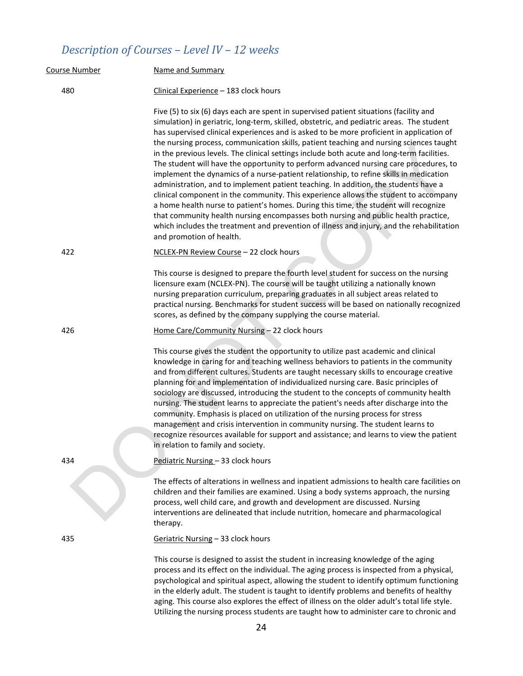# *Description of Courses – Level IV – 12 weeks*

| Course Number | Name and Summary                                                                                                                                                                                                                                                                                                                                                                                                                                                                                                                                                                                                                                                                                                                                                                                                                                                                                                                                                                                                                                                                                                                                  |  |  |  |
|---------------|---------------------------------------------------------------------------------------------------------------------------------------------------------------------------------------------------------------------------------------------------------------------------------------------------------------------------------------------------------------------------------------------------------------------------------------------------------------------------------------------------------------------------------------------------------------------------------------------------------------------------------------------------------------------------------------------------------------------------------------------------------------------------------------------------------------------------------------------------------------------------------------------------------------------------------------------------------------------------------------------------------------------------------------------------------------------------------------------------------------------------------------------------|--|--|--|
| 480           | Clinical Experience - 183 clock hours                                                                                                                                                                                                                                                                                                                                                                                                                                                                                                                                                                                                                                                                                                                                                                                                                                                                                                                                                                                                                                                                                                             |  |  |  |
|               | Five (5) to six (6) days each are spent in supervised patient situations (facility and<br>simulation) in geriatric, long-term, skilled, obstetric, and pediatric areas. The student<br>has supervised clinical experiences and is asked to be more proficient in application of<br>the nursing process, communication skills, patient teaching and nursing sciences taught<br>in the previous levels. The clinical settings include both acute and long-term facilities.<br>The student will have the opportunity to perform advanced nursing care procedures, to<br>implement the dynamics of a nurse-patient relationship, to refine skills in medication<br>administration, and to implement patient teaching. In addition, the students have a<br>clinical component in the community. This experience allows the student to accompany<br>a home health nurse to patient's homes. During this time, the student will recognize<br>that community health nursing encompasses both nursing and public health practice,<br>which includes the treatment and prevention of illness and injury, and the rehabilitation<br>and promotion of health. |  |  |  |
| 422           | NCLEX-PN Review Course - 22 clock hours                                                                                                                                                                                                                                                                                                                                                                                                                                                                                                                                                                                                                                                                                                                                                                                                                                                                                                                                                                                                                                                                                                           |  |  |  |
|               | This course is designed to prepare the fourth level student for success on the nursing<br>licensure exam (NCLEX-PN). The course will be taught utilizing a nationally known<br>nursing preparation curriculum, preparing graduates in all subject areas related to<br>practical nursing. Benchmarks for student success will be based on nationally recognized<br>scores, as defined by the company supplying the course material.                                                                                                                                                                                                                                                                                                                                                                                                                                                                                                                                                                                                                                                                                                                |  |  |  |
| 426           | Home Care/Community Nursing - 22 clock hours                                                                                                                                                                                                                                                                                                                                                                                                                                                                                                                                                                                                                                                                                                                                                                                                                                                                                                                                                                                                                                                                                                      |  |  |  |
|               | This course gives the student the opportunity to utilize past academic and clinical<br>knowledge in caring for and teaching wellness behaviors to patients in the community<br>and from different cultures. Students are taught necessary skills to encourage creative<br>planning for and implementation of individualized nursing care. Basic principles of<br>sociology are discussed, introducing the student to the concepts of community health<br>nursing. The student learns to appreciate the patient's needs after discharge into the<br>community. Emphasis is placed on utilization of the nursing process for stress<br>management and crisis intervention in community nursing. The student learns to<br>recognize resources available for support and assistance; and learns to view the patient<br>in relation to family and society.                                                                                                                                                                                                                                                                                             |  |  |  |
| 434           | Pediatric Nursing - 33 clock hours                                                                                                                                                                                                                                                                                                                                                                                                                                                                                                                                                                                                                                                                                                                                                                                                                                                                                                                                                                                                                                                                                                                |  |  |  |
|               | The effects of alterations in wellness and inpatient admissions to health care facilities on<br>children and their families are examined. Using a body systems approach, the nursing<br>process, well child care, and growth and development are discussed. Nursing<br>interventions are delineated that include nutrition, homecare and pharmacological<br>therapy.                                                                                                                                                                                                                                                                                                                                                                                                                                                                                                                                                                                                                                                                                                                                                                              |  |  |  |
| 435           | Geriatric Nursing - 33 clock hours                                                                                                                                                                                                                                                                                                                                                                                                                                                                                                                                                                                                                                                                                                                                                                                                                                                                                                                                                                                                                                                                                                                |  |  |  |
|               | This course is designed to assist the student in increasing knowledge of the aging<br>process and its effect on the individual. The aging process is inspected from a physical,<br>psychological and spiritual aspect, allowing the student to identify optimum functioning<br>in the elderly adult. The student is taught to identify problems and benefits of healthy<br>aging. This course also explores the effect of illness on the older adult's total life style.<br>Utilizing the nursing process students are taught how to administer care to chronic and                                                                                                                                                                                                                                                                                                                                                                                                                                                                                                                                                                               |  |  |  |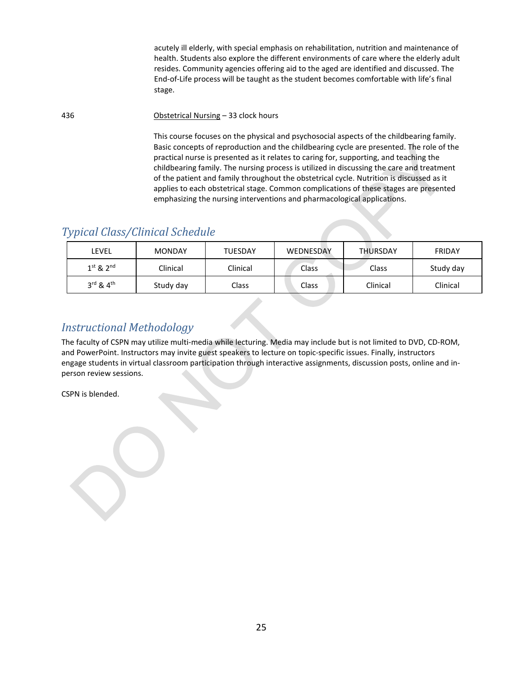acutely ill elderly, with special emphasis on rehabilitation, nutrition and maintenance of health. Students also explore the different environments of care where the elderly adult resides. Community agencies offering aid to the aged are identified and discussed. The End-of-Life process will be taught as the student becomes comfortable with life's final stage.

436 Obstetrical Nursing – 33 clock hours

 This course focuses on the physical and psychosocial aspects of the childbearing family. Basic concepts of reproduction and the childbearing cycle are presented. The role of the practical nurse is presented as it relates to caring for, supporting, and teaching the childbearing family. The nursing process is utilized in discussing the care and treatment of the patient and family throughout the obstetrical cycle. Nutrition is discussed as it applies to each obstetrical stage. Common complications of these stages are presented emphasizing the nursing interventions and pharmacological applications.

## <span id="page-25-0"></span>*Typical Class/Clinical Schedule*

| LEVEL                             | <b>MONDAY</b> | <b>TUESDAY</b> | WEDNESDAY    | <b>THURSDAY</b> | <b>FRIDAY</b> |
|-----------------------------------|---------------|----------------|--------------|-----------------|---------------|
| $1^{st}$ & $2^{nd}$               | Clinical      | Clinical       | <b>Class</b> | Class           | Study day     |
| $3^{\text{rd}}$ & $4^{\text{th}}$ | Study day     | Class          | <b>Class</b> | Clinical        | Clinical      |

## <span id="page-25-1"></span>*Instructional Methodology*

The faculty of CSPN may utilize multi-media while lecturing. Media may include but is not limited to DVD, CD-ROM, and PowerPoint. Instructors may invite guest speakers to lecture on topic-specific issues. Finally, instructors engage students in virtual classroom participation through interactive assignments, discussion posts, online and inperson review sessions.

CSPN is blended.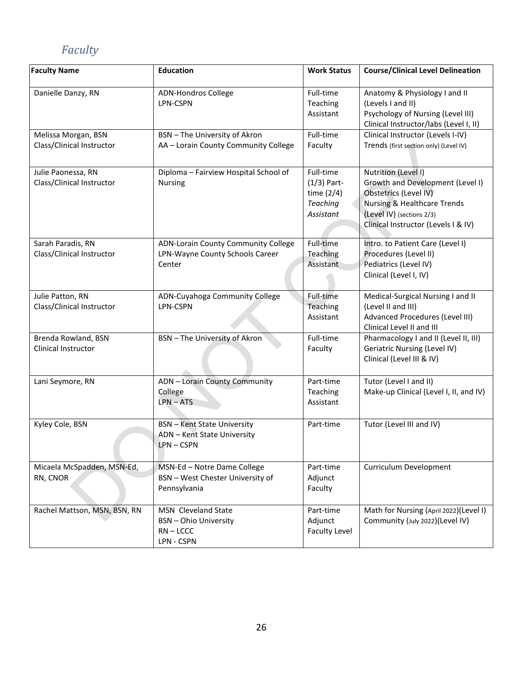# *Faculty*

| <b>Faculty Name</b>                              | <b>Education</b>                                                                 | <b>Work Status</b>                                                  | <b>Course/Clinical Level Delineation</b>                                                                                                                                                       |
|--------------------------------------------------|----------------------------------------------------------------------------------|---------------------------------------------------------------------|------------------------------------------------------------------------------------------------------------------------------------------------------------------------------------------------|
| Danielle Danzy, RN                               | <b>ADN-Hondros College</b><br>LPN-CSPN                                           | Full-time<br>Teaching<br>Assistant                                  | Anatomy & Physiology I and II<br>(Levels I and II)<br>Psychology of Nursing (Level III)<br>Clinical Instructor/labs (Level I, II)                                                              |
| Melissa Morgan, BSN<br>Class/Clinical Instructor | BSN - The University of Akron<br>AA - Lorain County Community College            | Full-time<br>Faculty                                                | Clinical Instructor (Levels I-IV)<br>Trends (first section only) (Level IV)                                                                                                                    |
| Julie Paonessa, RN<br>Class/Clinical Instructor  | Diploma - Fairview Hospital School of<br><b>Nursing</b>                          | Full-time<br>$(1/3)$ Part-<br>time $(2/4)$<br>Teaching<br>Assistant | Nutrition (Level I)<br>Growth and Development (Level I)<br>Obstetrics (Level IV)<br><b>Nursing &amp; Healthcare Trends</b><br>(Level IV) (sections 2/3)<br>Clinical Instructor (Levels I & IV) |
| Sarah Paradis, RN<br>Class/Clinical Instructor   | ADN-Lorain County Community College<br>LPN-Wayne County Schools Career<br>Center | Full-time<br>Teaching<br>Assistant                                  | Intro. to Patient Care (Level I)<br>Procedures (Level II)<br>Pediatrics (Level IV)<br>Clinical (Level I, IV)                                                                                   |
| Julie Patton, RN<br>Class/Clinical Instructor    | ADN-Cuyahoga Community College<br>LPN-CSPN                                       | Full-time<br>Teaching<br>Assistant                                  | Medical-Surgical Nursing I and II<br>(Level II and III)<br>Advanced Procedures (Level III)<br>Clinical Level II and III                                                                        |
| Brenda Rowland, BSN<br>Clinical Instructor       | BSN - The University of Akron                                                    | Full-time<br>Faculty                                                | Pharmacology I and II (Level II, III)<br>Geriatric Nursing (Level IV)<br>Clinical (Level III & IV)                                                                                             |
| Lani Seymore, RN                                 | ADN - Lorain County Community<br>College<br>$LPN - ATS$                          | Part-time<br>Teaching<br>Assistant                                  | Tutor (Level I and II)<br>Make-up Clinical (Level I, II, and IV)                                                                                                                               |
| Kyley Cole, BSN                                  | <b>BSN</b> - Kent State University<br>ADN - Kent State University<br>LPN-CSPN    | Part-time                                                           | Tutor (Level III and IV)                                                                                                                                                                       |
| Micaela McSpadden, MSN-Ed,<br>RN, CNOR           | MSN-Ed - Notre Dame College<br>BSN - West Chester University of<br>Pennsylvania  | Part-time<br>Adjunct<br>Faculty                                     | Curriculum Development                                                                                                                                                                         |
| Rachel Mattson, MSN, BSN, RN                     | MSN Cleveland State<br><b>BSN</b> - Ohio University<br>$RN - LCCC$<br>LPN - CSPN | Part-time<br>Adjunct<br><b>Faculty Level</b>                        | Math for Nursing (April 2022)(Level I)<br>Community (July 2022)(Level IV)                                                                                                                      |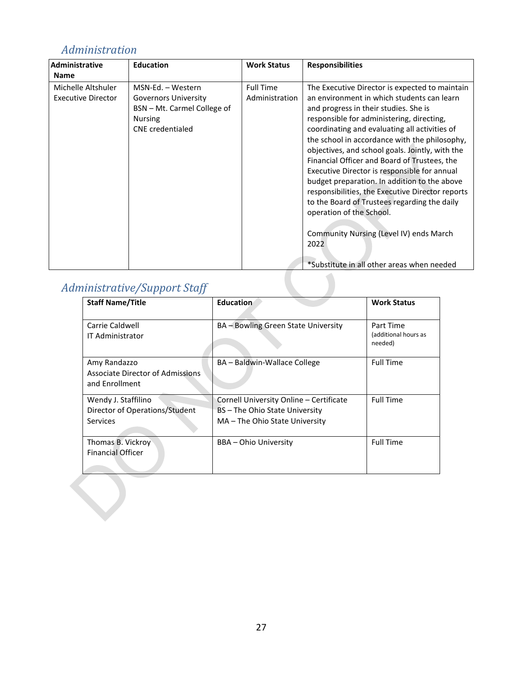## <span id="page-27-0"></span>*Administration*

| Administrative<br><b>Name</b>                   | <b>Education</b>                                                                                                             | <b>Work Status</b>                 | <b>Responsibilities</b>                                                                                                                                                                                                                                                                                                                                                                                                                                                                                                                                                                                                                                                                                                  |
|-------------------------------------------------|------------------------------------------------------------------------------------------------------------------------------|------------------------------------|--------------------------------------------------------------------------------------------------------------------------------------------------------------------------------------------------------------------------------------------------------------------------------------------------------------------------------------------------------------------------------------------------------------------------------------------------------------------------------------------------------------------------------------------------------------------------------------------------------------------------------------------------------------------------------------------------------------------------|
| Michelle Altshuler<br><b>Executive Director</b> | MSN-Ed. - Western<br><b>Governors University</b><br>BSN - Mt. Carmel College of<br><b>Nursing</b><br><b>CNE</b> credentialed | <b>Full Time</b><br>Administration | The Executive Director is expected to maintain<br>an environment in which students can learn<br>and progress in their studies. She is<br>responsible for administering, directing,<br>coordinating and evaluating all activities of<br>the school in accordance with the philosophy,<br>objectives, and school goals. Jointly, with the<br>Financial Officer and Board of Trustees, the<br>Executive Director is responsible for annual<br>budget preparation. In addition to the above<br>responsibilities, the Executive Director reports<br>to the Board of Trustees regarding the daily<br>operation of the School.<br>Community Nursing (Level IV) ends March<br>2022<br>*Substitute in all other areas when needed |
|                                                 | <b>Administrative/Support Staff</b>                                                                                          |                                    |                                                                                                                                                                                                                                                                                                                                                                                                                                                                                                                                                                                                                                                                                                                          |

# <span id="page-27-1"></span>*Administrative/Support Staff*

| <b>Staff Name/Title</b>                                                  | Education                                                                                                   | <b>Work Status</b>                           |
|--------------------------------------------------------------------------|-------------------------------------------------------------------------------------------------------------|----------------------------------------------|
| Carrie Caldwell<br><b>IT Administrator</b>                               | BA - Bowling Green State University                                                                         | Part Time<br>(additional hours as<br>needed) |
| Amy Randazzo<br>Associate Director of Admissions<br>and Enrollment       | BA – Baldwin-Wallace College                                                                                | <b>Full Time</b>                             |
| Wendy J. Staffilino<br>Director of Operations/Student<br><b>Services</b> | Cornell University Online - Certificate<br>BS – The Ohio State University<br>MA – The Ohio State University | <b>Full Time</b>                             |
| Thomas B. Vickroy<br><b>Financial Officer</b>                            | BBA - Ohio University                                                                                       | <b>Full Time</b>                             |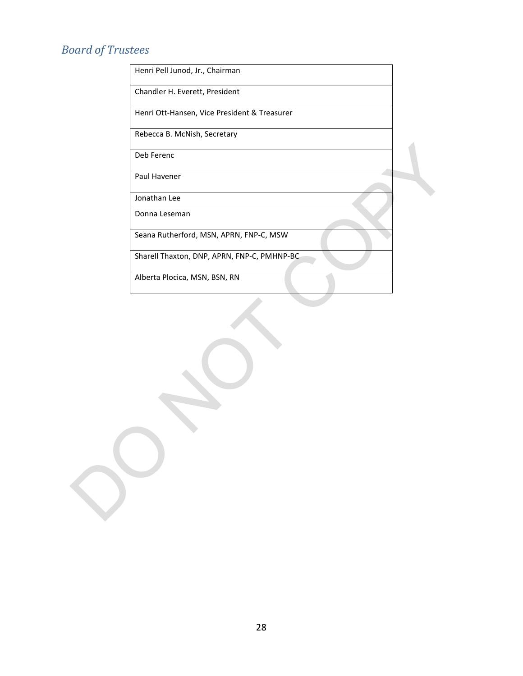# *Board of Trustees*

| Henri Pell Junod, Jr., Chairman              |  |
|----------------------------------------------|--|
| Chandler H. Everett, President               |  |
| Henri Ott-Hansen, Vice President & Treasurer |  |
| Rebecca B. McNish, Secretary                 |  |
| Deb Ferenc                                   |  |
| Paul Havener                                 |  |
| Jonathan Lee                                 |  |
| Donna Leseman                                |  |
| Seana Rutherford, MSN, APRN, FNP-C, MSW      |  |
| Sharell Thaxton, DNP, APRN, FNP-C, PMHNP-BC  |  |
| Alberta Plocica, MSN, BSN, RN                |  |
|                                              |  |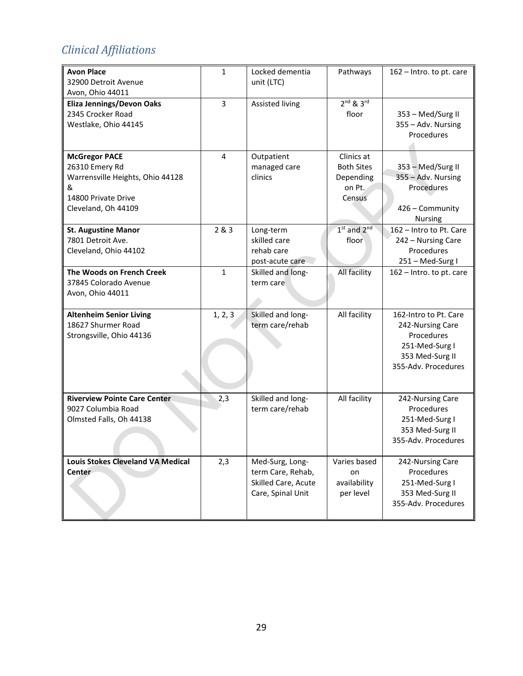# *Clinical Affiliations*

| <b>Avon Place</b><br>32900 Detroit Avenue<br>Avon, Ohio 44011                                                                 | $\mathbf{1}$            | Locked dementia<br>unit (LTC)                                                    | Pathways                                                         | 162 - Intro. to pt. care                                                                                            |
|-------------------------------------------------------------------------------------------------------------------------------|-------------------------|----------------------------------------------------------------------------------|------------------------------------------------------------------|---------------------------------------------------------------------------------------------------------------------|
| <b>Eliza Jennings/Devon Oaks</b><br>2345 Crocker Road<br>Westlake, Ohio 44145                                                 | 3                       | Assisted living                                                                  | $2nd$ & $3rd$<br>floor                                           | 353 - Med/Surg II<br>355 - Adv. Nursing<br>Procedures                                                               |
| <b>McGregor PACE</b><br>26310 Emery Rd<br>Warrensville Heights, Ohio 44128<br>&<br>14800 Private Drive<br>Cleveland, Oh 44109 | $\overline{\mathbf{4}}$ | Outpatient<br>managed care<br>clinics                                            | Clinics at<br><b>Both Sites</b><br>Depending<br>on Pt.<br>Census | 353 - Med/Surg II<br>355 - Adv. Nursing<br>Procedures<br>426 - Community<br><b>Nursing</b>                          |
| <b>St. Augustine Manor</b><br>7801 Detroit Ave.<br>Cleveland, Ohio 44102                                                      | 2 & 3                   | Long-term<br>skilled care<br>rehab care<br>post-acute care                       | $1st$ and $2nd$<br>floor                                         | 162 - Intro to Pt. Care<br>242 - Nursing Care<br>Procedures<br>251 - Med-Surg I                                     |
| The Woods on French Creek<br>37845 Colorado Avenue<br>Avon, Ohio 44011                                                        | $\mathbf{1}$            | Skilled and long-<br>term care                                                   | All facility                                                     | 162 - Intro. to pt. care                                                                                            |
| <b>Altenheim Senior Living</b><br>18627 Shurmer Road<br>Strongsville, Ohio 44136                                              | 1, 2, 3                 | Skilled and long-<br>term care/rehab                                             | All facility                                                     | 162-Intro to Pt. Care<br>242-Nursing Care<br>Procedures<br>251-Med-Surg I<br>353 Med-Surg II<br>355-Adv. Procedures |
| <b>Riverview Pointe Care Center</b><br>9027 Columbia Road<br>Olmsted Falls, Oh 44138                                          | 2,3                     | Skilled and long-<br>term care/rehab                                             | All facility                                                     | 242-Nursing Care<br>Procedures<br>251-Med-Surg I<br>353 Med-Surg II<br>355-Adv. Procedures                          |
| <b>Louis Stokes Cleveland VA Medical</b><br>Center                                                                            | 2,3                     | Med-Surg, Long-<br>term Care, Rehab,<br>Skilled Care, Acute<br>Care, Spinal Unit | Varies based<br>on<br>availability<br>per level                  | 242-Nursing Care<br>Procedures<br>251-Med-Surg I<br>353 Med-Surg II<br>355-Adv. Procedures                          |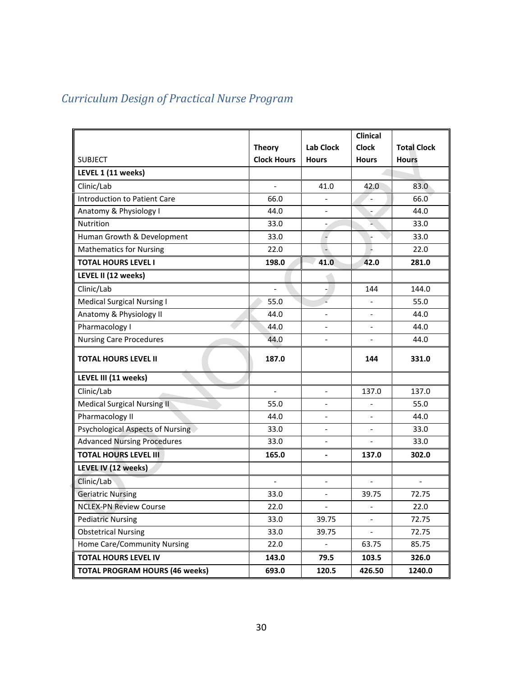# <span id="page-30-0"></span>*Curriculum Design of Practical Nurse Program*

|                                       |                          |                          | <b>Clinical</b>          |                    |
|---------------------------------------|--------------------------|--------------------------|--------------------------|--------------------|
|                                       | <b>Theory</b>            | <b>Lab Clock</b>         | <b>Clock</b>             | <b>Total Clock</b> |
| <b>SUBJECT</b>                        | <b>Clock Hours</b>       | <b>Hours</b>             | <b>Hours</b>             | <b>Hours</b>       |
| LEVEL 1 (11 weeks)                    |                          |                          |                          |                    |
| Clinic/Lab                            | $\overline{a}$           | 41.0                     | 42.0                     | 83.0               |
| <b>Introduction to Patient Care</b>   | 66.0                     |                          | $\blacksquare$           | 66.0               |
| Anatomy & Physiology I                | 44.0                     | $\overline{\phantom{a}}$ |                          | 44.0               |
| Nutrition                             | 33.0                     |                          |                          | 33.0               |
| Human Growth & Development            | 33.0                     |                          |                          | 33.0               |
| <b>Mathematics for Nursing</b>        | 22.0                     |                          |                          | 22.0               |
| <b>TOTAL HOURS LEVEL I</b>            | 198.0                    | 41.0                     | 42.0                     | 281.0              |
| LEVEL II (12 weeks)                   |                          |                          |                          |                    |
| Clinic/Lab                            | $\overline{\phantom{a}}$ |                          | 144                      | 144.0              |
| <b>Medical Surgical Nursing I</b>     | 55.0                     |                          |                          | 55.0               |
| Anatomy & Physiology II               | 44.0                     | $\overline{\phantom{a}}$ | $\blacksquare$           | 44.0               |
| Pharmacology I                        | 44.0                     | $\blacksquare$           | $\blacksquare$           | 44.0               |
| <b>Nursing Care Procedures</b>        | 44.0                     |                          |                          | 44.0               |
| <b>TOTAL HOURS LEVEL II</b>           | 187.0                    |                          | 144                      | 331.0              |
| LEVEL III (11 weeks)                  |                          |                          |                          |                    |
| Clinic/Lab                            |                          | $\blacksquare$           | 137.0                    | 137.0              |
| <b>Medical Surgical Nursing II</b>    | 55.0                     | $\blacksquare$           |                          | 55.0               |
| Pharmacology II                       | 44.0                     | $\overline{\phantom{a}}$ |                          | 44.0               |
| Psychological Aspects of Nursing      | 33.0                     | $\overline{\phantom{a}}$ | $\overline{\phantom{a}}$ | 33.0               |
| <b>Advanced Nursing Procedures</b>    | 33.0                     |                          |                          | 33.0               |
| <b>TOTAL HOURS LEVEL III</b>          | 165.0                    | $\blacksquare$           | 137.0                    | 302.0              |
| LEVEL IV (12 weeks)                   |                          |                          |                          |                    |
| Clinic/Lab                            | $\overline{a}$           |                          |                          |                    |
| <b>Geriatric Nursing</b>              | 33.0                     | $\overline{\phantom{a}}$ | 39.75                    | 72.75              |
| <b>NCLEX-PN Review Course</b>         | 22.0                     | $\overline{\phantom{a}}$ |                          | 22.0               |
| <b>Pediatric Nursing</b>              | 33.0                     | 39.75                    | $\overline{\phantom{a}}$ | 72.75              |
| <b>Obstetrical Nursing</b>            | 33.0                     | 39.75                    | $\overline{\phantom{a}}$ | 72.75              |
| Home Care/Community Nursing           | 22.0                     | $\overline{\phantom{0}}$ | 63.75                    | 85.75              |
| <b>TOTAL HOURS LEVEL IV</b>           | 143.0                    | 79.5                     | 103.5                    | 326.0              |
| <b>TOTAL PROGRAM HOURS (46 weeks)</b> | 693.0                    | 120.5                    | 426.50                   | 1240.0             |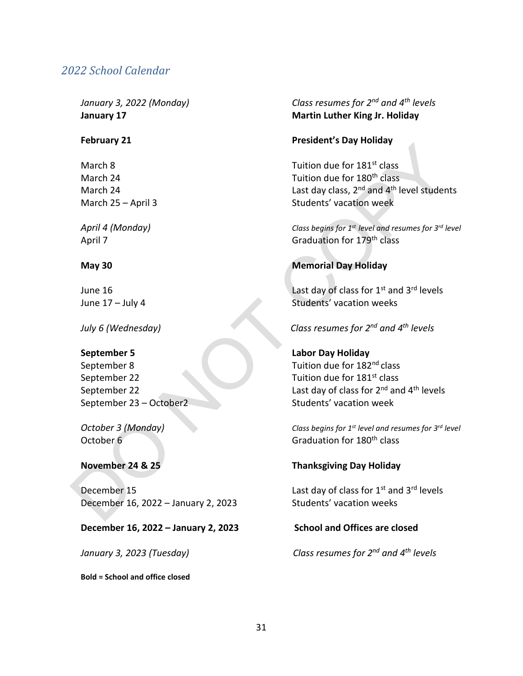#### <span id="page-31-0"></span>*2022 School Calendar*

September 22 Tuition due for  $181^{st}$  class September 23 – October2 Students' vacation week

December 15 **December 15** Last day of class for  $1^{st}$  and  $3^{rd}$  levels December 16, 2022 – January 2, 2023 Students' vacation weeks

#### **December 16, 2022 – January 2, 2023 School and Offices are closed**

**Bold = School and office closed**

*January 3, 2022 (Monday) Class resumes for 2nd and 4th levels* **January 17 Martin Luther King Jr. Holiday**

#### **February 21 President's Day Holiday**

March 8 March 8 Tuition due for  $181^{st}$  class March 24 **March 24** Tuition due for 180<sup>th</sup> class March 24 **March 24** Last day class, 2<sup>nd</sup> and 4<sup>th</sup> level students March 25 – April 3 Students' vacation week

*April 4 (Monday) Class begins for 1st level and resumes for 3rd level* April 7 Graduation for 179<sup>th</sup> class

#### **May 30 Memorial Day Holiday**

June 16 **Last day of class for 1st and 3rd levels** June 17 – July 4 Students' vacation weeks

#### *July 6 (Wednesday) Class resumes for 2nd and 4th levels*

**September 5 Labor Day Holiday**  September 8 Tuition due for 182<sup>nd</sup> class September 22 Last day of class for 2<sup>nd</sup> and 4<sup>th</sup> levels

*October 3 (Monday) Class begins for 1st level and resumes for 3rd level* October 6 Graduation for 180<sup>th</sup> class

#### **November 24 & 25 Thanksgiving Day Holiday**

*January 3, 2023 (Tuesday) Class resumes for 2nd and 4th levels*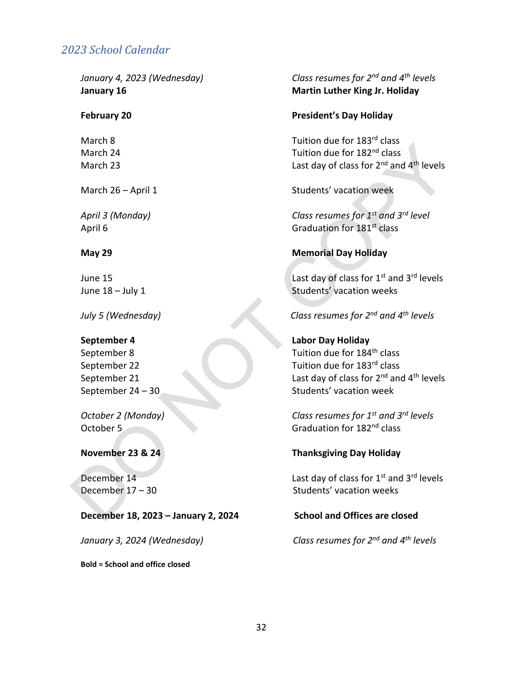### <span id="page-32-0"></span>*2023 School Calendar*

#### **December 18, 2023 – January 2, 2024 School and Offices are closed**

**Bold = School and office closed**

#### *January 4, 2023 (Wednesday) Class resumes for 2nd and 4th levels* **January 16 Martin Luther King Jr. Holiday**

#### **February 20 President's Day Holiday**

March 8 March 8 Tuition due for  $183^{rd}$  class March 24  $\blacksquare$  March 24  $\blacksquare$  Tuition due for 182<sup>nd</sup> class March 23 **March 23** Last day of class for 2<sup>nd</sup> and 4<sup>th</sup> levels

March 26 – April 1 Students' vacation week

*April 3 (Monday) Class resumes for 1st and 3rd level* April 6 Graduation for  $181^{st}$  class

#### **May 29 Memorial Day Holiday**

June 15 **Last day of class for 1<sup>st</sup> and 3<sup>rd</sup> levels** June 18 – July 1 Students' vacation weeks

#### *July 5 (Wednesday) Class resumes for 2nd and 4th levels*

**September 4 Labor Day Holiday**  September 8 Tuition due for 184<sup>th</sup> class September 22 Tuition due for 183<sup>rd</sup> class September 21 Last day of class for 2<sup>nd</sup> and 4<sup>th</sup> levels September 24 – 30 Students' vacation week

*October 2 (Monday) Class resumes for 1st and 3rd levels* October 5 Graduation for 182<sup>nd</sup> class

#### **November 23 & 24 Thanksgiving Day Holiday**

December  $14$  Last day of class for  $1<sup>st</sup>$  and  $3<sup>rd</sup>$  levels December 17 – 30 Students' vacation weeks

*January 3, 2024 (Wednesday) Class resumes for 2nd and 4th levels*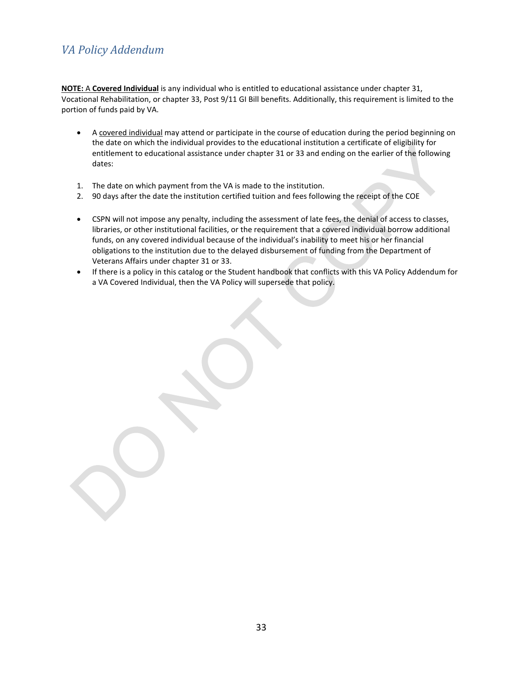## <span id="page-33-0"></span>*VA Policy Addendum*

**NOTE:** A **Covered Individual** is any individual who is entitled to educational assistance under chapter 31, Vocational Rehabilitation, or chapter 33, Post 9/11 GI Bill benefits. Additionally, this requirement is limited to the portion of funds paid by VA.

- A covered individual may attend or participate in the course of education during the period beginning on the date on which the individual provides to the educational institution a certificate of eligibility for entitlement to educational assistance under chapter 31 or 33 and ending on the earlier of the following dates:
- 1. The date on which payment from the VA is made to the institution.
- 2. 90 days after the date the institution certified tuition and fees following the receipt of the COE
- CSPN will not impose any penalty, including the assessment of late fees, the denial of access to classes, libraries, or other institutional facilities, or the requirement that a covered individual borrow additional funds, on any covered individual because of the individual's inability to meet his or her financial obligations to the institution due to the delayed disbursement of funding from the Department of Veterans Affairs under chapter 31 or 33.
- If there is a policy in this catalog or the Student handbook that conflicts with this VA Policy Addendum for a VA Covered Individual, then the VA Policy will supersede that policy.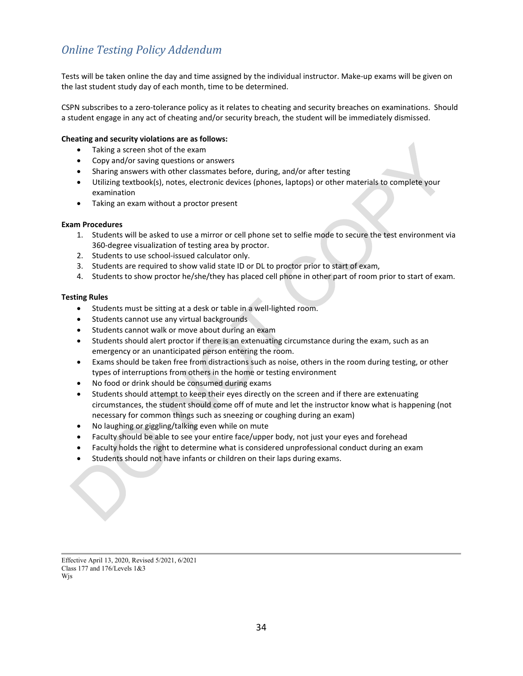## <span id="page-34-0"></span>*Online Testing Policy Addendum*

Tests will be taken online the day and time assigned by the individual instructor. Make-up exams will be given on the last student study day of each month, time to be determined.

CSPN subscribes to a zero-tolerance policy as it relates to cheating and security breaches on examinations. Should a student engage in any act of cheating and/or security breach, the student will be immediately dismissed.

#### **Cheating and security violations are as follows:**

- Taking a screen shot of the exam
- Copy and/or saving questions or answers
- Sharing answers with other classmates before, during, and/or after testing
- Utilizing textbook(s), notes, electronic devices (phones, laptops) or other materials to complete your examination
- Taking an exam without a proctor present

#### **Exam Procedures**

- 1. Students will be asked to use a mirror or cell phone set to selfie mode to secure the test environment via 360-degree visualization of testing area by proctor.
- 2. Students to use school-issued calculator only.
- 3. Students are required to show valid state ID or DL to proctor prior to start of exam,
- 4. Students to show proctor he/she/they has placed cell phone in other part of room prior to start of exam.

#### **Testing Rules**

- Students must be sitting at a desk or table in a well-lighted room.
- Students cannot use any virtual backgrounds.
- Students cannot walk or move about during an exam
- Students should alert proctor if there is an extenuating circumstance during the exam, such as an emergency or an unanticipated person entering the room.
- Exams should be taken free from distractions such as noise, others in the room during testing, or other types of interruptions from others in the home or testing environment
- No food or drink should be consumed during exams
- Students should attempt to keep their eyes directly on the screen and if there are extenuating circumstances, the student should come off of mute and let the instructor know what is happening (not necessary for common things such as sneezing or coughing during an exam)
- No laughing or giggling/talking even while on mute
- Faculty should be able to see your entire face/upper body, not just your eyes and forehead
- Faculty holds the right to determine what is considered unprofessional conduct during an exam
- Students should not have infants or children on their laps during exams.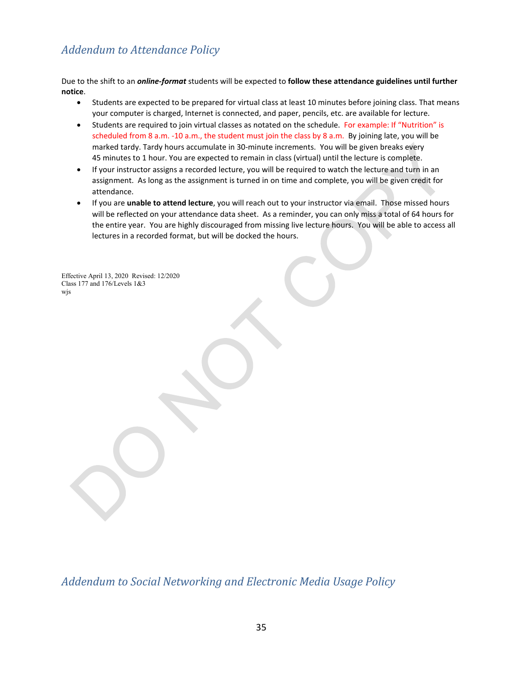## <span id="page-35-0"></span>*Addendum to Attendance Policy*

Due to the shift to an *online-format* students will be expected to **follow these attendance guidelines until further notice**.

- Students are expected to be prepared for virtual class at least 10 minutes before joining class. That means your computer is charged, Internet is connected, and paper, pencils, etc. are available for lecture.
- Students are required to join virtual classes as notated on the schedule. For example: If "Nutrition" is scheduled from 8 a.m. -10 a.m., the student must join the class by 8 a.m. By joining late, you will be marked tardy. Tardy hours accumulate in 30-minute increments. You will be given breaks every 45 minutes to 1 hour. You are expected to remain in class (virtual) until the lecture is complete.
- If your instructor assigns a recorded lecture, you will be required to watch the lecture and turn in an assignment. As long as the assignment is turned in on time and complete, you will be given credit for attendance.
- If you are **unable to attend lecture**, you will reach out to your instructor via email. Those missed hours will be reflected on your attendance data sheet. As a reminder, you can only miss a total of 64 hours for the entire year. You are highly discouraged from missing live lecture hours. You will be able to access all lectures in a recorded format, but will be docked the hours.

Effective April 13, 2020 Revised: 12/2020 Class 177 and 176/Levels 1&3 wjs

<span id="page-35-1"></span>*Addendum to Social Networking and Electronic Media Usage Policy*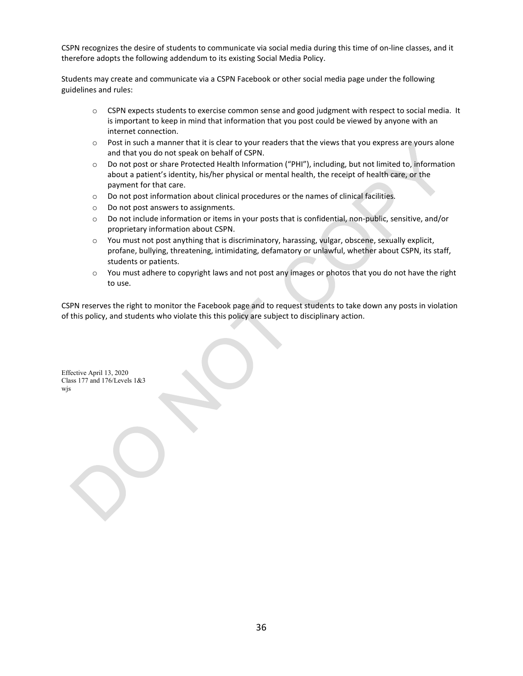CSPN recognizes the desire of students to communicate via social media during this time of on-line classes, and it therefore adopts the following addendum to its existing Social Media Policy.

Students may create and communicate via a CSPN Facebook or other social media page under the following guidelines and rules:

- o CSPN expects students to exercise common sense and good judgment with respect to social media. It is important to keep in mind that information that you post could be viewed by anyone with an internet connection.
- $\circ$  Post in such a manner that it is clear to your readers that the views that you express are yours alone and that you do not speak on behalf of CSPN.
- o Do not post or share Protected Health Information ("PHI"), including, but not limited to, information about a patient's identity, his/her physical or mental health, the receipt of health care, or the payment for that care.
- o Do not post information about clinical procedures or the names of clinical facilities.
- o Do not post answers to assignments.
- o Do not include information or items in your posts that is confidential, non-public, sensitive, and/or proprietary information about CSPN.
- o You must not post anything that is discriminatory, harassing, vulgar, obscene, sexually explicit, profane, bullying, threatening, intimidating, defamatory or unlawful, whether about CSPN, its staff, students or patients.
- o You must adhere to copyright laws and not post any images or photos that you do not have the right to use.

CSPN reserves the right to monitor the Facebook page and to request students to take down any posts in violation of this policy, and students who violate this this policy are subject to disciplinary action.

Effective April 13, 2020 Class 177 and 176/Levels 1&3 wjs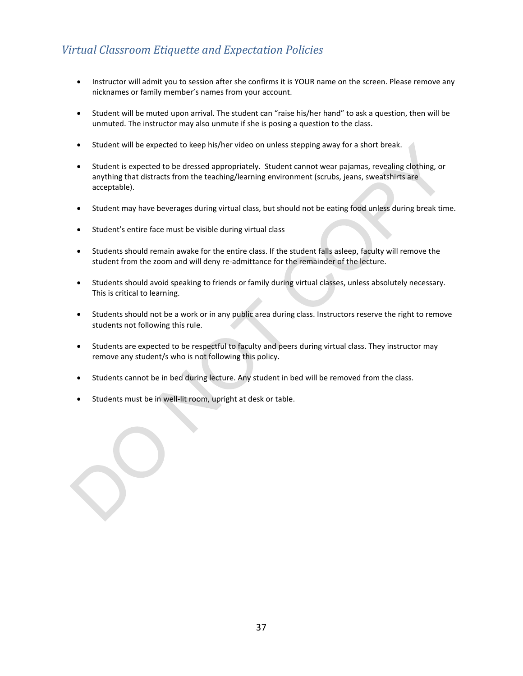## <span id="page-37-0"></span>*Virtual Classroom Etiquette and Expectation Policies*

- Instructor will admit you to session after she confirms it is YOUR name on the screen. Please remove any nicknames or family member's names from your account.
- Student will be muted upon arrival. The student can "raise his/her hand" to ask a question, then will be unmuted. The instructor may also unmute if she is posing a question to the class.
- Student will be expected to keep his/her video on unless stepping away for a short break.
- Student is expected to be dressed appropriately. Student cannot wear pajamas, revealing clothing, or anything that distracts from the teaching/learning environment (scrubs, jeans, sweatshirts are acceptable).
- Student may have beverages during virtual class, but should not be eating food unless during break time.
- Student's entire face must be visible during virtual class
- Students should remain awake for the entire class. If the student falls asleep, faculty will remove the student from the zoom and will deny re-admittance for the remainder of the lecture.
- Students should avoid speaking to friends or family during virtual classes, unless absolutely necessary. This is critical to learning.
- Students should not be a work or in any public area during class. Instructors reserve the right to remove students not following this rule.
- Students are expected to be respectful to faculty and peers during virtual class. They instructor may remove any student/s who is not following this policy.
- Students cannot be in bed during lecture. Any student in bed will be removed from the class.
- Students must be in well-lit room, upright at desk or table.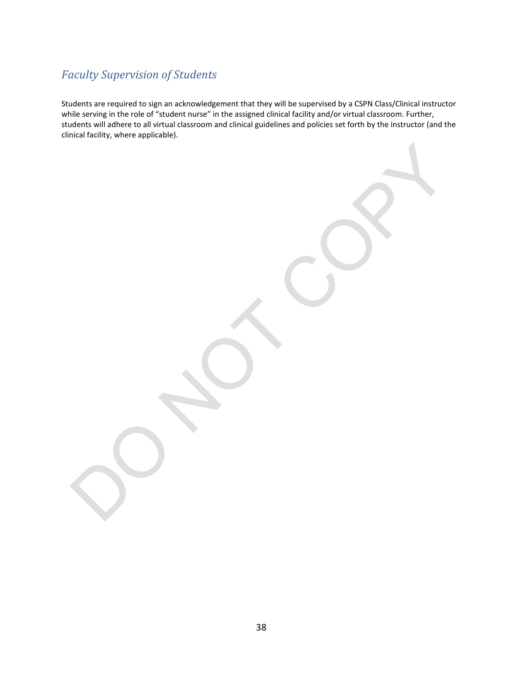## <span id="page-38-0"></span>*Faculty Supervision of Students*

Students are required to sign an acknowledgement that they will be supervised by a CSPN Class/Clinical instructor while serving in the role of "student nurse" in the assigned clinical facility and/or virtual classroom. Further, students will adhere to all virtual classroom and clinical guidelines and policies set forth by the instructor (and the clinical facility, where applicable).